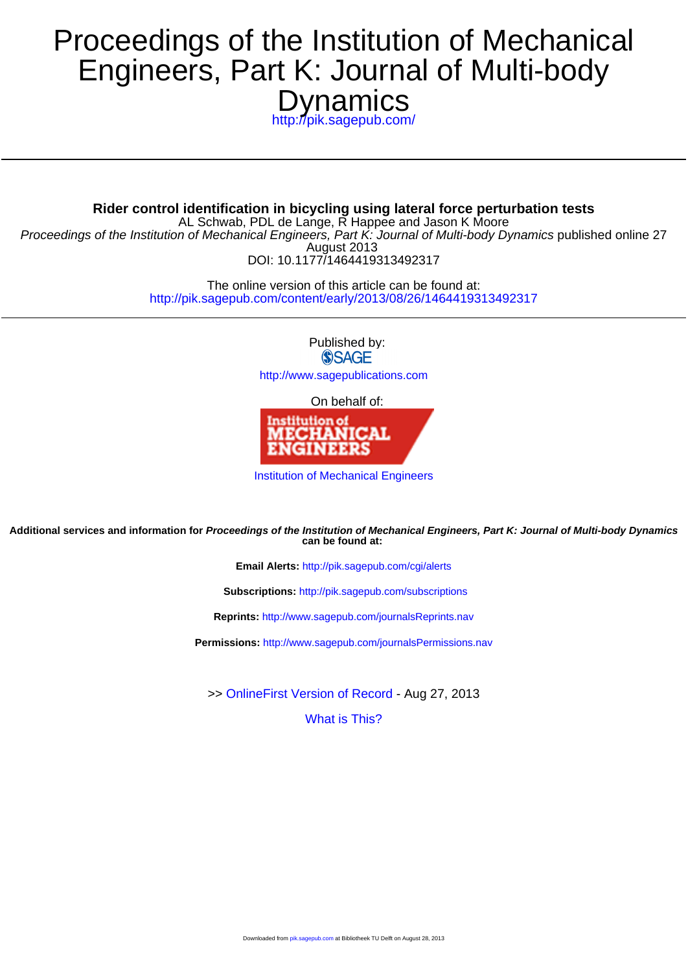# **Dynamics** Engineers, Part K: Journal of Multi-body Proceedings of the Institution of Mechanical

<http://pik.sagepub.com/>

DOI: 10.1177/1464419313492317 August 2013 Proceedings of the Institution of Mechanical Engineers, Part K: Journal of Multi-body Dynamics published online 27 AL Schwab, PDL de Lange, R Happee and Jason K Moore **Rider control identification in bicycling using lateral force perturbation tests**

> <http://pik.sagepub.com/content/early/2013/08/26/1464419313492317> The online version of this article can be found at:

> > Published by: **SSAGE**

<http://www.sagepublications.com>

On behalf of:



[Institution of Mechanical Engineers](http://www.imeche.org/home)

**can be found at: Additional services and information for Proceedings of the Institution of Mechanical Engineers, Part K: Journal of Multi-body Dynamics**

**Email Alerts:** <http://pik.sagepub.com/cgi/alerts>

**Subscriptions:** <http://pik.sagepub.com/subscriptions>

**Reprints:** <http://www.sagepub.com/journalsReprints.nav>

**Permissions:** <http://www.sagepub.com/journalsPermissions.nav>

>> [OnlineFirst Version of Record -](http://pik.sagepub.com/content/early/2013/08/26/1464419313492317.full.pdf) Aug 27, 2013

[What is This?](http://online.sagepub.com/site/sphelp/vorhelp.xhtml)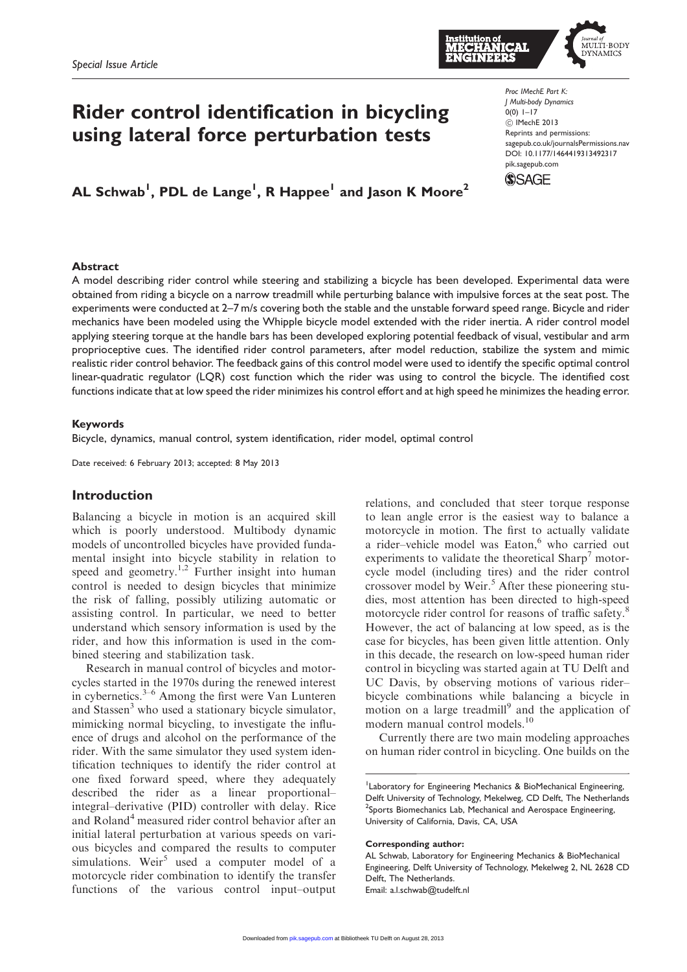

# Rider control identification in bicycling using lateral force perturbation tests

AL Schwab<sup>1</sup>, PDL de Lange<sup>1</sup>, R Happee<sup>1</sup> and Jason K Moore<sup>2</sup>

#### Proc IMechE Part K: J Multi-body Dynamics  $0(0)$  1–17 ! IMechE 2013 Reprints and permissions: sagepub.co.uk/journalsPermissions.nav DOI: 10.1177/1464419313492317 pik.sagepub.com



#### Abstract

A model describing rider control while steering and stabilizing a bicycle has been developed. Experimental data were obtained from riding a bicycle on a narrow treadmill while perturbing balance with impulsive forces at the seat post. The experiments were conducted at 2–7 m/s covering both the stable and the unstable forward speed range. Bicycle and rider mechanics have been modeled using the Whipple bicycle model extended with the rider inertia. A rider control model applying steering torque at the handle bars has been developed exploring potential feedback of visual, vestibular and arm proprioceptive cues. The identified rider control parameters, after model reduction, stabilize the system and mimic realistic rider control behavior. The feedback gains of this control model were used to identify the specific optimal control linear-quadratic regulator (LQR) cost function which the rider was using to control the bicycle. The identified cost functions indicate that at low speed the rider minimizes his control effort and at high speed he minimizes the heading error.

#### Keywords

Bicycle, dynamics, manual control, system identification, rider model, optimal control

Date received: 6 February 2013; accepted: 8 May 2013

#### Introduction

Balancing a bicycle in motion is an acquired skill which is poorly understood. Multibody dynamic models of uncontrolled bicycles have provided fundamental insight into bicycle stability in relation to speed and geometry.<sup>1,2</sup> Further insight into human control is needed to design bicycles that minimize the risk of falling, possibly utilizing automatic or assisting control. In particular, we need to better understand which sensory information is used by the rider, and how this information is used in the combined steering and stabilization task.

Research in manual control of bicycles and motorcycles started in the 1970s during the renewed interest in cybernetics. $3-6$  Among the first were Van Lunteren and Stassen<sup>3</sup> who used a stationary bicycle simulator, mimicking normal bicycling, to investigate the influence of drugs and alcohol on the performance of the rider. With the same simulator they used system identification techniques to identify the rider control at one fixed forward speed, where they adequately described the rider as a linear proportional– integral–derivative (PID) controller with delay. Rice and Roland<sup>4</sup> measured rider control behavior after an initial lateral perturbation at various speeds on various bicycles and compared the results to computer simulations. Weir<sup>5</sup> used a computer model of a motorcycle rider combination to identify the transfer functions of the various control input–output

relations, and concluded that steer torque response to lean angle error is the easiest way to balance a motorcycle in motion. The first to actually validate a rider–vehicle model was Eaton,<sup>6</sup> who carried out experiments to validate the theoretical  $\text{Sharp}^7$  motorcycle model (including tires) and the rider control crossover model by Weir.<sup>5</sup> After these pioneering studies, most attention has been directed to high-speed motorcycle rider control for reasons of traffic safety.<sup>8</sup> However, the act of balancing at low speed, as is the case for bicycles, has been given little attention. Only in this decade, the research on low-speed human rider control in bicycling was started again at TU Delft and UC Davis, by observing motions of various rider– bicycle combinations while balancing a bicycle in motion on a large treadmill<sup>9</sup> and the application of modern manual control models.<sup>10</sup>

Currently there are two main modeling approaches on human rider control in bicycling. One builds on the

#### Corresponding author:

<sup>&</sup>lt;sup>1</sup>Laboratory for Engineering Mechanics & BioMechanical Engineering, Delft University of Technology, Mekelweg, CD Delft, The Netherlands <sup>2</sup>Sports Biomechanics Lab, Mechanical and Aerospace Engineering, University of California, Davis, CA, USA

AL Schwab, Laboratory for Engineering Mechanics & BioMechanical Engineering, Delft University of Technology, Mekelweg 2, NL 2628 CD Delft, The Netherlands. Email: a.l.schwab@tudelft.nl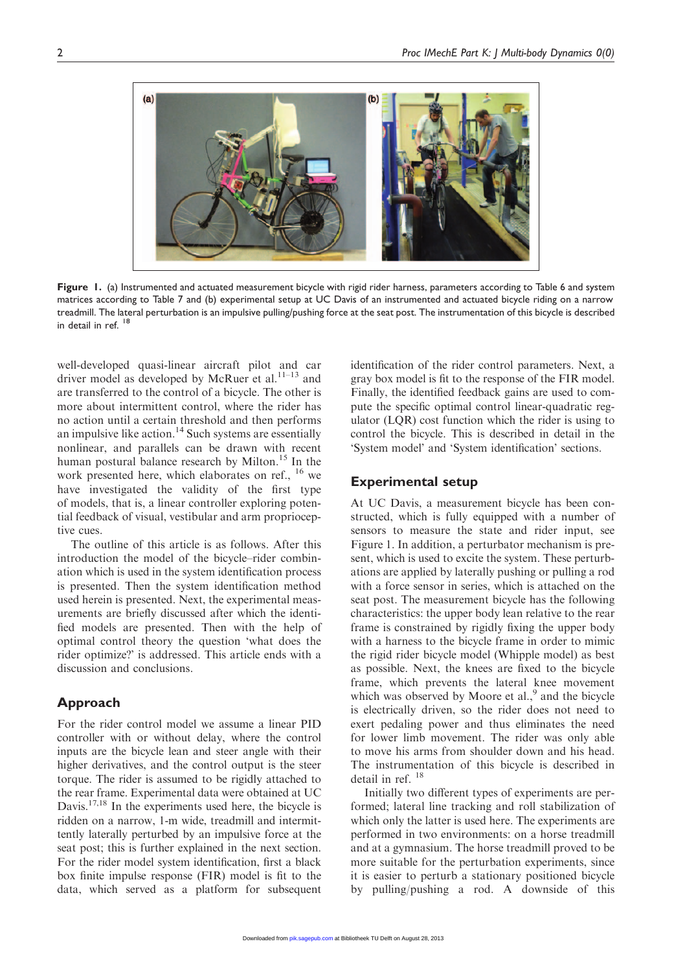

Figure 1. (a) Instrumented and actuated measurement bicycle with rigid rider harness, parameters according to Table 6 and system matrices according to Table 7 and (b) experimental setup at UC Davis of an instrumented and actuated bicycle riding on a narrow treadmill. The lateral perturbation is an impulsive pulling/pushing force at the seat post. The instrumentation of this bicycle is described in detail in ref. <sup>18</sup>

well-developed quasi-linear aircraft pilot and car driver model as developed by McRuer et al. $11-13$  and are transferred to the control of a bicycle. The other is more about intermittent control, where the rider has no action until a certain threshold and then performs an impulsive like action.<sup>14</sup> Such systems are essentially nonlinear, and parallels can be drawn with recent human postural balance research by Milton.<sup>15</sup> In the work presented here, which elaborates on ref., <sup>16</sup> we have investigated the validity of the first type of models, that is, a linear controller exploring potential feedback of visual, vestibular and arm proprioceptive cues.

The outline of this article is as follows. After this introduction the model of the bicycle–rider combination which is used in the system identification process is presented. Then the system identification method used herein is presented. Next, the experimental measurements are briefly discussed after which the identified models are presented. Then with the help of optimal control theory the question 'what does the rider optimize?' is addressed. This article ends with a discussion and conclusions.

# Approach

For the rider control model we assume a linear PID controller with or without delay, where the control inputs are the bicycle lean and steer angle with their higher derivatives, and the control output is the steer torque. The rider is assumed to be rigidly attached to the rear frame. Experimental data were obtained at UC Davis.<sup>17,18</sup> In the experiments used here, the bicycle is ridden on a narrow, 1-m wide, treadmill and intermittently laterally perturbed by an impulsive force at the seat post; this is further explained in the next section. For the rider model system identification, first a black box finite impulse response (FIR) model is fit to the data, which served as a platform for subsequent identification of the rider control parameters. Next, a gray box model is fit to the response of the FIR model. Finally, the identified feedback gains are used to compute the specific optimal control linear-quadratic regulator (LQR) cost function which the rider is using to control the bicycle. This is described in detail in the 'System model' and 'System identification' sections.

## Experimental setup

At UC Davis, a measurement bicycle has been constructed, which is fully equipped with a number of sensors to measure the state and rider input, see Figure 1. In addition, a perturbator mechanism is present, which is used to excite the system. These perturbations are applied by laterally pushing or pulling a rod with a force sensor in series, which is attached on the seat post. The measurement bicycle has the following characteristics: the upper body lean relative to the rear frame is constrained by rigidly fixing the upper body with a harness to the bicycle frame in order to mimic the rigid rider bicycle model (Whipple model) as best as possible. Next, the knees are fixed to the bicycle frame, which prevents the lateral knee movement which was observed by Moore et al.,<sup>9</sup> and the bicycle is electrically driven, so the rider does not need to exert pedaling power and thus eliminates the need for lower limb movement. The rider was only able to move his arms from shoulder down and his head. The instrumentation of this bicycle is described in detail in ref.  $^{18}$ 

Initially two different types of experiments are performed; lateral line tracking and roll stabilization of which only the latter is used here. The experiments are performed in two environments: on a horse treadmill and at a gymnasium. The horse treadmill proved to be more suitable for the perturbation experiments, since it is easier to perturb a stationary positioned bicycle by pulling/pushing a rod. A downside of this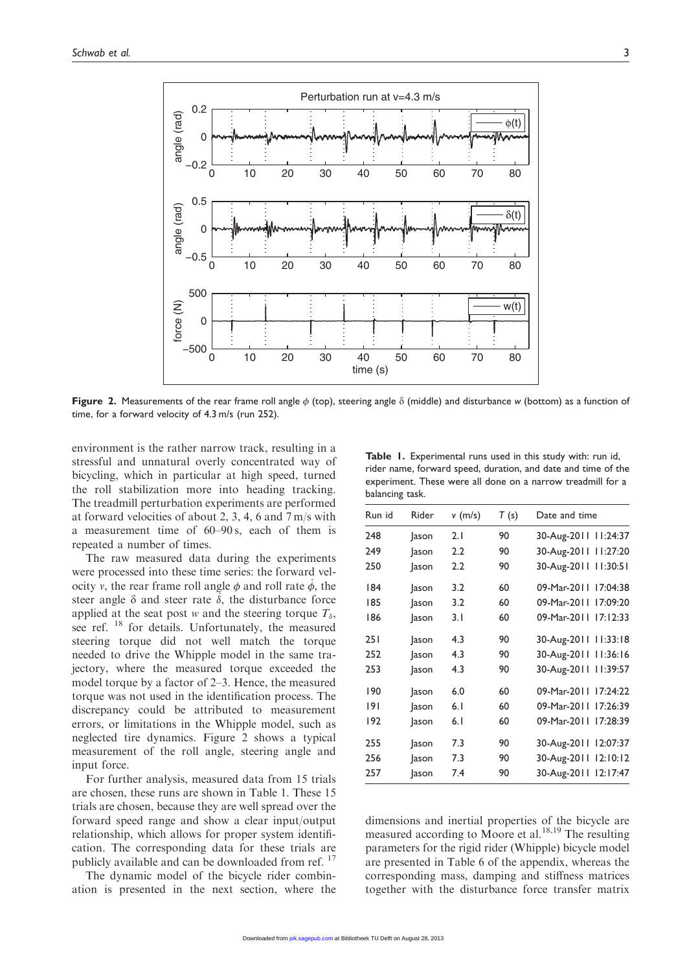

Figure 2. Measurements of the rear frame roll angle  $\phi$  (top), steering angle  $\delta$  (middle) and disturbance w (bottom) as a function of time, for a forward velocity of 4.3 m/s (run 252).

environment is the rather narrow track, resulting in a stressful and unnatural overly concentrated way of bicycling, which in particular at high speed, turned the roll stabilization more into heading tracking. The treadmill perturbation experiments are performed at forward velocities of about 2, 3, 4, 6 and 7 m/s with a measurement time of 60–90 s, each of them is repeated a number of times.

The raw measured data during the experiments were processed into these time series: the forward velocity v, the rear frame roll angle  $\phi$  and roll rate  $\dot{\phi}$ , the steer angle  $\delta$  and steer rate  $\delta$ , the disturbance force applied at the seat post w and the steering torque  $T_{\delta}$ , see ref. <sup>18</sup> for details. Unfortunately, the measured steering torque did not well match the torque needed to drive the Whipple model in the same trajectory, where the measured torque exceeded the model torque by a factor of 2–3. Hence, the measured torque was not used in the identification process. The discrepancy could be attributed to measurement errors, or limitations in the Whipple model, such as neglected tire dynamics. Figure 2 shows a typical measurement of the roll angle, steering angle and input force.

For further analysis, measured data from 15 trials are chosen, these runs are shown in Table 1. These 15 trials are chosen, because they are well spread over the forward speed range and show a clear input/output relationship, which allows for proper system identification. The corresponding data for these trials are publicly available and can be downloaded from ref.<sup>17</sup>

The dynamic model of the bicycle rider combination is presented in the next section, where the

Table 1. Experimental runs used in this study with: run id, rider name, forward speed, duration, and date and time of the experiment. These were all done on a narrow treadmill for a balancing task.

| Run id | Rider        | $v$ (m/s) | T (s) | Date and time        |
|--------|--------------|-----------|-------|----------------------|
| 248    | <b>Jason</b> | 2.1       | 90    | 30-Aug-2011 11:24:37 |
| 249    | <b>Jason</b> | 2.2       | 90    | 30-Aug-2011 11:27:20 |
| 250    | ason         | 2.2       | 90    | 30-Aug-2011 11:30:51 |
| 184    | <b>Jason</b> | 3.2       | 60    | 09-Mar-2011 17:04:38 |
| 185    | <b>Jason</b> | 3.2       | 60    | 09-Mar-2011 17:09:20 |
| 186    | ason         | 3.1       | 60    | 09-Mar-2011 17:12:33 |
| 251    | ason         | 4.3       | 90    | 30-Aug-2011 11:33:18 |
| 252    | ason         | 4.3       | 90    | 30-Aug-2011 11:36:16 |
| 253    | <b>Jason</b> | 4.3       | 90    | 30-Aug-2011 11:39:57 |
| 190    | ason         | 6.0       | 60    | 09-Mar-2011 17:24:22 |
| 9      | <b>Jason</b> | 6.1       | 60    | 09-Mar-2011 17:26:39 |
| 192    | <b>Jason</b> | 6.1       | 60    | 09-Mar-2011 17:28:39 |
| 255    | <b>Jason</b> | 7.3       | 90    | 30-Aug-2011 12:07:37 |
| 256    | <b>Jason</b> | 7.3       | 90    | 30-Aug-2011 12:10:12 |
| 257    | ason         | 7.4       | 90    | 30-Aug-2011 12:17:47 |

dimensions and inertial properties of the bicycle are measured according to Moore et al.<sup>18,19</sup> The resulting parameters for the rigid rider (Whipple) bicycle model are presented in Table 6 of the appendix, whereas the corresponding mass, damping and stiffness matrices together with the disturbance force transfer matrix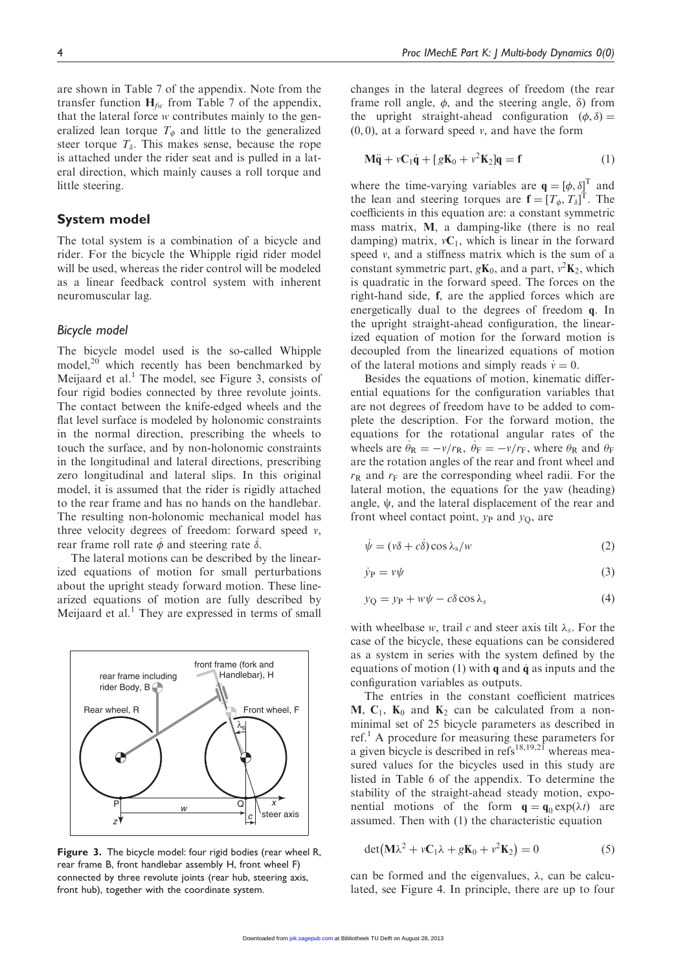are shown in Table 7 of the appendix. Note from the transfer function  $H_{fw}$  from Table 7 of the appendix, that the lateral force w contributes mainly to the generalized lean torque  $T_{\phi}$  and little to the generalized steer torque  $T_{\delta}$ . This makes sense, because the rope is attached under the rider seat and is pulled in a lateral direction, which mainly causes a roll torque and little steering.

# System model

The total system is a combination of a bicycle and rider. For the bicycle the Whipple rigid rider model will be used, whereas the rider control will be modeled as a linear feedback control system with inherent neuromuscular lag.

#### Bicycle model

The bicycle model used is the so-called Whipple model, $^{20}$  which recently has been benchmarked by Meijaard et al.<sup>1</sup> The model, see Figure 3, consists of four rigid bodies connected by three revolute joints. The contact between the knife-edged wheels and the flat level surface is modeled by holonomic constraints in the normal direction, prescribing the wheels to touch the surface, and by non-holonomic constraints in the longitudinal and lateral directions, prescribing zero longitudinal and lateral slips. In this original model, it is assumed that the rider is rigidly attached to the rear frame and has no hands on the handlebar. The resulting non-holonomic mechanical model has three velocity degrees of freedom: forward speed  $v$ , rear frame roll rate  $\dot{\phi}$  and steering rate  $\dot{\delta}$ .

The lateral motions can be described by the linearized equations of motion for small perturbations about the upright steady forward motion. These linearized equations of motion are fully described by Meijaard et al.<sup>1</sup> They are expressed in terms of small



Figure 3. The bicycle model: four rigid bodies (rear wheel R, rear frame B, front handlebar assembly H, front wheel F) connected by three revolute joints (rear hub, steering axis, front hub), together with the coordinate system.

changes in the lateral degrees of freedom (the rear frame roll angle,  $\phi$ , and the steering angle,  $\delta$ ) from the upright straight-ahead configuration  $(\phi, \delta)$  =  $(0, 0)$ , at a forward speed v, and have the form

$$
\mathbf{M}\ddot{\mathbf{q}} + v\mathbf{C}_1\dot{\mathbf{q}} + [g\mathbf{K}_0 + v^2\mathbf{K}_2]\mathbf{q} = \mathbf{f}
$$
 (1)

where the time-varying variables are  $q = [\phi, \delta]^T$  and the lean and steering torques are  $f = [T_{\phi}, T_{\delta}]^{T}$ . The coefficients in this equation are: a constant symmetric mass matrix, M, a damping-like (there is no real damping) matrix,  $vC_1$ , which is linear in the forward speed v, and a stiffness matrix which is the sum of a constant symmetric part,  $g\mathbf{K}_0$ , and a part,  $v^2\mathbf{K}_2$ , which is quadratic in the forward speed. The forces on the right-hand side, f, are the applied forces which are energetically dual to the degrees of freedom q. In the upright straight-ahead configuration, the linearized equation of motion for the forward motion is decoupled from the linearized equations of motion of the lateral motions and simply reads  $\dot{v} = 0$ .

Besides the equations of motion, kinematic differential equations for the configuration variables that are not degrees of freedom have to be added to complete the description. For the forward motion, the equations for the rotational angular rates of the wheels are  $\dot{\theta}_R = -v/r_R$ ,  $\dot{\theta}_F = -v/r_F$ , where  $\theta_R$  and  $\theta_F$ are the rotation angles of the rear and front wheel and  $r_{\rm R}$  and  $r_{\rm F}$  are the corresponding wheel radii. For the lateral motion, the equations for the yaw (heading) angle,  $\psi$ , and the lateral displacement of the rear and front wheel contact point,  $y_P$  and  $y_O$ , are

$$
\dot{\psi} = (v\delta + c\dot{\delta})\cos\lambda_s/w\tag{2}
$$

$$
\dot{y}_{\rm P} = v\psi \tag{3}
$$

$$
y_{\mathbf{Q}} = y_{\mathbf{P}} + w\psi - c\delta\cos\lambda_{s}
$$
 (4)

with wheelbase w, trail c and steer axis tilt  $\lambda_s$ . For the case of the bicycle, these equations can be considered as a system in series with the system defined by the equations of motion (1) with  $\bf{q}$  and  $\dot{\bf{q}}$  as inputs and the configuration variables as outputs.

The entries in the constant coefficient matrices M,  $C_1$ ,  $K_0$  and  $K_2$  can be calculated from a nonminimal set of 25 bicycle parameters as described in ref.<sup>1</sup> A procedure for measuring these parameters for a given bicycle is described in  $\text{refs}^{18,19,21}$  whereas measured values for the bicycles used in this study are listed in Table 6 of the appendix. To determine the stability of the straight-ahead steady motion, exponential motions of the form  $\mathbf{q} = \mathbf{q}_0 \exp(\lambda t)$  are assumed. Then with (1) the characteristic equation

$$
\det(\mathbf{M}\lambda^2 + v\mathbf{C}_1\lambda + g\mathbf{K}_0 + v^2\mathbf{K}_2) = 0
$$
 (5)

can be formed and the eigenvalues,  $\lambda$ , can be calculated, see Figure 4. In principle, there are up to four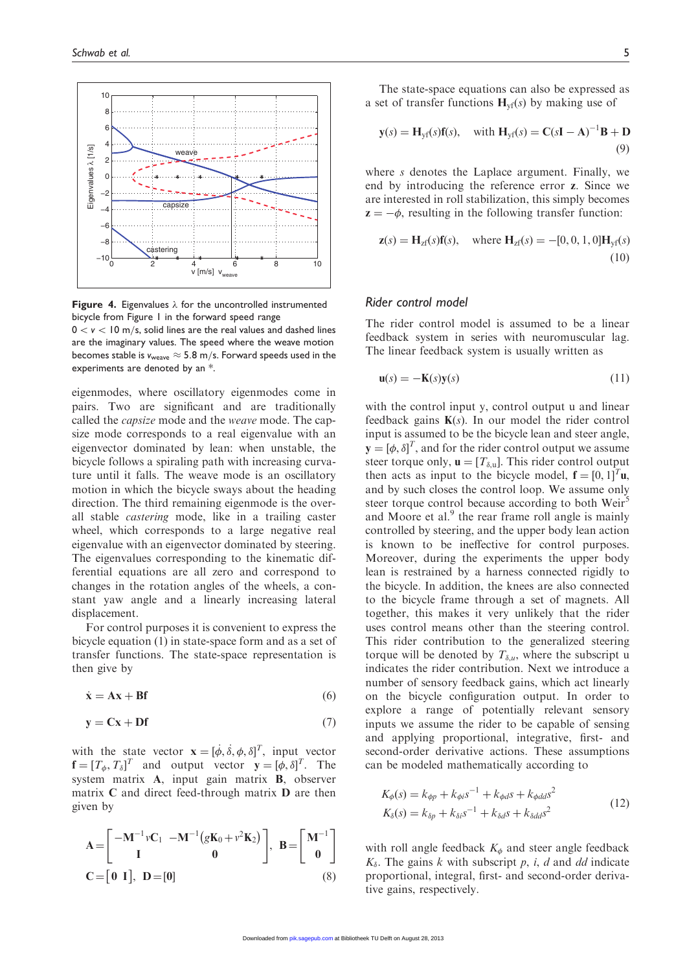

**Figure 4.** Eigenvalues  $\lambda$  for the uncontrolled instrumented bicycle from Figure 1 in the forward speed range

 $0 < v < 10$  m/s, solid lines are the real values and dashed lines are the imaginary values. The speed where the weave motion becomes stable is  $v_{\text{weave}} \approx 5.8 \text{ m/s}$ . Forward speeds used in the experiments are denoted by an \*.

eigenmodes, where oscillatory eigenmodes come in pairs. Two are significant and are traditionally called the capsize mode and the weave mode. The capsize mode corresponds to a real eigenvalue with an eigenvector dominated by lean: when unstable, the bicycle follows a spiraling path with increasing curvature until it falls. The weave mode is an oscillatory motion in which the bicycle sways about the heading direction. The third remaining eigenmode is the overall stable castering mode, like in a trailing caster wheel, which corresponds to a large negative real eigenvalue with an eigenvector dominated by steering. The eigenvalues corresponding to the kinematic differential equations are all zero and correspond to changes in the rotation angles of the wheels, a constant yaw angle and a linearly increasing lateral displacement.

For control purposes it is convenient to express the bicycle equation (1) in state-space form and as a set of transfer functions. The state-space representation is then give by

$$
\dot{\mathbf{x}} = \mathbf{A}\mathbf{x} + \mathbf{B}\mathbf{f} \tag{6}
$$

$$
y = Cx + Df \tag{7}
$$

with the state vector  $\mathbf{x} = [\dot{\phi}, \dot{\delta}, \phi, \delta]^T$ , input vector  $\mathbf{f} = [T_{\phi}, T_{\delta}]^{T}$  and output vector  $\mathbf{y} = [\phi, \delta]^{T}$ . The system matrix A, input gain matrix B, observer matrix C and direct feed-through matrix D are then given by

$$
\mathbf{A} = \begin{bmatrix} -\mathbf{M}^{-1} v \mathbf{C}_1 & -\mathbf{M}^{-1} (g \mathbf{K}_0 + v^2 \mathbf{K}_2) \\ \mathbf{I} & \mathbf{0} \end{bmatrix}, \ \mathbf{B} = \begin{bmatrix} \mathbf{M}^{-1} \\ \mathbf{0} \end{bmatrix}
$$

$$
\mathbf{C} = \begin{bmatrix} \mathbf{0} & \mathbf{I} \end{bmatrix}, \ \mathbf{D} = \begin{bmatrix} \mathbf{0} \end{bmatrix} \tag{8}
$$

The state-space equations can also be expressed as a set of transfer functions  $H_{\text{vf}}(s)$  by making use of

$$
\mathbf{y}(s) = \mathbf{H}_{\mathrm{yf}}(s)\mathbf{f}(s), \quad \text{with } \mathbf{H}_{\mathrm{yf}}(s) = \mathbf{C}(s\mathbf{I} - \mathbf{A})^{-1}\mathbf{B} + \mathbf{D}
$$
\n(9)

where s denotes the Laplace argument. Finally, we end by introducing the reference error z. Since we are interested in roll stabilization, this simply becomes  $z = -\phi$ , resulting in the following transfer function:

$$
\mathbf{z}(s) = \mathbf{H}_{z\mathbf{f}}(s)\mathbf{f}(s), \text{ where } \mathbf{H}_{z\mathbf{f}}(s) = -[0, 0, 1, 0]\mathbf{H}_{\text{y}\mathbf{f}}(s)
$$
(10)

#### Rider control model

The rider control model is assumed to be a linear feedback system in series with neuromuscular lag. The linear feedback system is usually written as

$$
\mathbf{u}(s) = -\mathbf{K}(s)\mathbf{y}(s) \tag{11}
$$

with the control input y, control output u and linear feedback gains  $K(s)$ . In our model the rider control input is assumed to be the bicycle lean and steer angle,  $\mathbf{y} = [\phi, \delta]^T$ , and for the rider control output we assume steer torque only,  $\mathbf{u} = [T_{\delta,\mathrm{u}}]$ . This rider control output then acts as input to the bicycle model,  $f = [0, 1]^T u$ , and by such closes the control loop. We assume only steer torque control because according to both Weir<sup>5</sup> and Moore et al. $<sup>9</sup>$  the rear frame roll angle is mainly</sup> controlled by steering, and the upper body lean action is known to be ineffective for control purposes. Moreover, during the experiments the upper body lean is restrained by a harness connected rigidly to the bicycle. In addition, the knees are also connected to the bicycle frame through a set of magnets. All together, this makes it very unlikely that the rider uses control means other than the steering control. This rider contribution to the generalized steering torque will be denoted by  $T_{\delta,\mu}$ , where the subscript u indicates the rider contribution. Next we introduce a number of sensory feedback gains, which act linearly on the bicycle configuration output. In order to explore a range of potentially relevant sensory inputs we assume the rider to be capable of sensing and applying proportional, integrative, first- and second-order derivative actions. These assumptions can be modeled mathematically according to

$$
K_{\phi}(s) = k_{\phi p} + k_{\phi i} s^{-1} + k_{\phi d} s + k_{\phi d d} s^{2}
$$
  
\n
$$
K_{\delta}(s) = k_{\delta p} + k_{\delta i} s^{-1} + k_{\delta d} s + k_{\delta d d} s^{2}
$$
\n(12)

with roll angle feedback  $K_{\phi}$  and steer angle feedback  $K_{\delta}$ . The gains k with subscript p, i, d and dd indicate proportional, integral, first- and second-order derivative gains, respectively.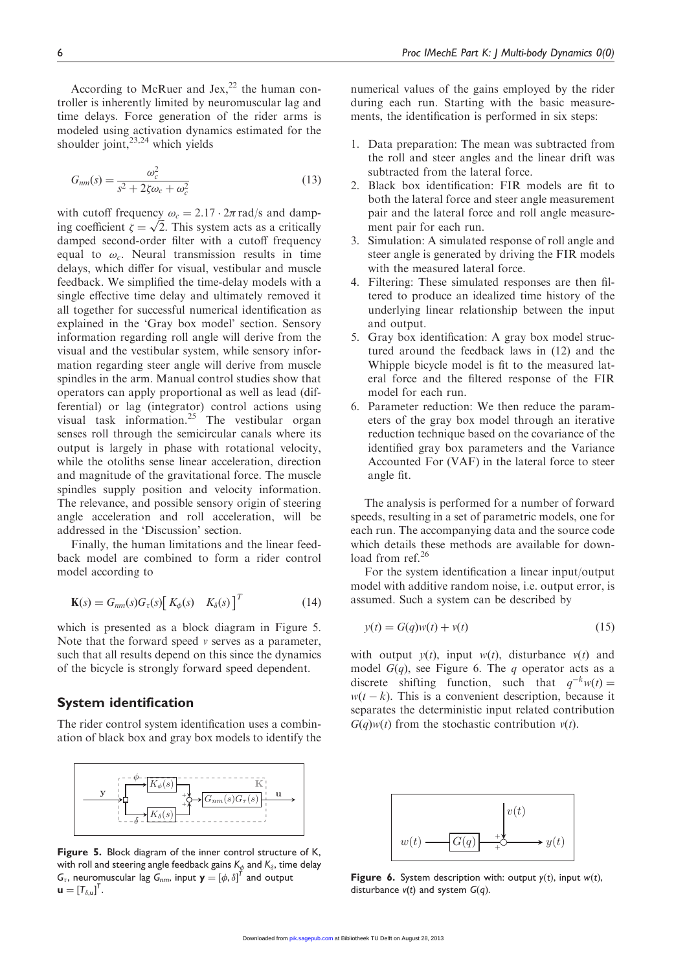According to McRuer and Jex,<sup>22</sup> the human controller is inherently limited by neuromuscular lag and time delays. Force generation of the rider arms is modeled using activation dynamics estimated for the shoulder joint, $23,24$  which yields

$$
G_{nm}(s) = \frac{\omega_c^2}{s^2 + 2\zeta\omega_c + \omega_c^2}
$$
 (13)

with cutoff frequency  $\omega_c = 2.17 \cdot 2\pi \text{ rad/s}$  and dampwith cutoff frequency  $\omega_c = 2.1 / \cdot 2\pi$  rad/s and damp-<br>ing coefficient  $\zeta = \sqrt{2}$ . This system acts as a critically damped second-order filter with a cutoff frequency equal to  $\omega_c$ . Neural transmission results in time delays, which differ for visual, vestibular and muscle feedback. We simplified the time-delay models with a single effective time delay and ultimately removed it all together for successful numerical identification as explained in the 'Gray box model' section. Sensory information regarding roll angle will derive from the visual and the vestibular system, while sensory information regarding steer angle will derive from muscle spindles in the arm. Manual control studies show that operators can apply proportional as well as lead (differential) or lag (integrator) control actions using visual task information.<sup>25</sup> The vestibular organ senses roll through the semicircular canals where its output is largely in phase with rotational velocity, while the otoliths sense linear acceleration, direction and magnitude of the gravitational force. The muscle spindles supply position and velocity information. The relevance, and possible sensory origin of steering angle acceleration and roll acceleration, will be addressed in the 'Discussion' section.

Finally, the human limitations and the linear feedback model are combined to form a rider control model according to

$$
\mathbf{K}(s) = G_{nm}(s)G_{\tau}(s) \begin{bmatrix} K_{\phi}(s) & K_{\delta}(s) \end{bmatrix}^T
$$
 (14)

which is presented as a block diagram in Figure 5. Note that the forward speed  $\nu$  serves as a parameter, such that all results depend on this since the dynamics of the bicycle is strongly forward speed dependent.

# System identification

The rider control system identification uses a combination of black box and gray box models to identify the



Figure 5. Block diagram of the inner control structure of K, with roll and steering angle feedback gains  $\mathsf{K}_\phi$  and  $\mathsf{K}_\delta$ , time delay  ${\sf G}_\tau$ , neuromuscular lag  ${\sf G}_{nm}$ , input  ${\sf y} = \left[\phi, \delta\right]^{\tau}$  and output  $\boldsymbol{\mathsf{u}} = [T_{\delta,\boldsymbol{\mathsf{u}}}]^{\mathsf{T}}.$ 

numerical values of the gains employed by the rider during each run. Starting with the basic measurements, the identification is performed in six steps:

- 1. Data preparation: The mean was subtracted from the roll and steer angles and the linear drift was subtracted from the lateral force.
- 2. Black box identification: FIR models are fit to both the lateral force and steer angle measurement pair and the lateral force and roll angle measurement pair for each run.
- 3. Simulation: A simulated response of roll angle and steer angle is generated by driving the FIR models with the measured lateral force.
- 4. Filtering: These simulated responses are then filtered to produce an idealized time history of the underlying linear relationship between the input and output.
- 5. Gray box identification: A gray box model structured around the feedback laws in (12) and the Whipple bicycle model is fit to the measured lateral force and the filtered response of the FIR model for each run.
- 6. Parameter reduction: We then reduce the parameters of the gray box model through an iterative reduction technique based on the covariance of the identified gray box parameters and the Variance Accounted For (VAF) in the lateral force to steer angle fit.

The analysis is performed for a number of forward speeds, resulting in a set of parametric models, one for each run. The accompanying data and the source code which details these methods are available for download from ref.<sup>26</sup>

For the system identification a linear input/output model with additive random noise, i.e. output error, is assumed. Such a system can be described by

$$
y(t) = G(q)w(t) + v(t)
$$
\n(15)

with output  $y(t)$ , input  $w(t)$ , disturbance  $v(t)$  and model  $G(q)$ , see Figure 6. The q operator acts as a discrete shifting function, such that  $q^{-k}w(t) =$  $w(t - k)$ . This is a convenient description, because it separates the deterministic input related contribution  $G(q)w(t)$  from the stochastic contribution  $v(t)$ .



Figure 6. System description with: output  $y(t)$ , input  $w(t)$ , disturbance  $v(t)$  and system  $G(q)$ .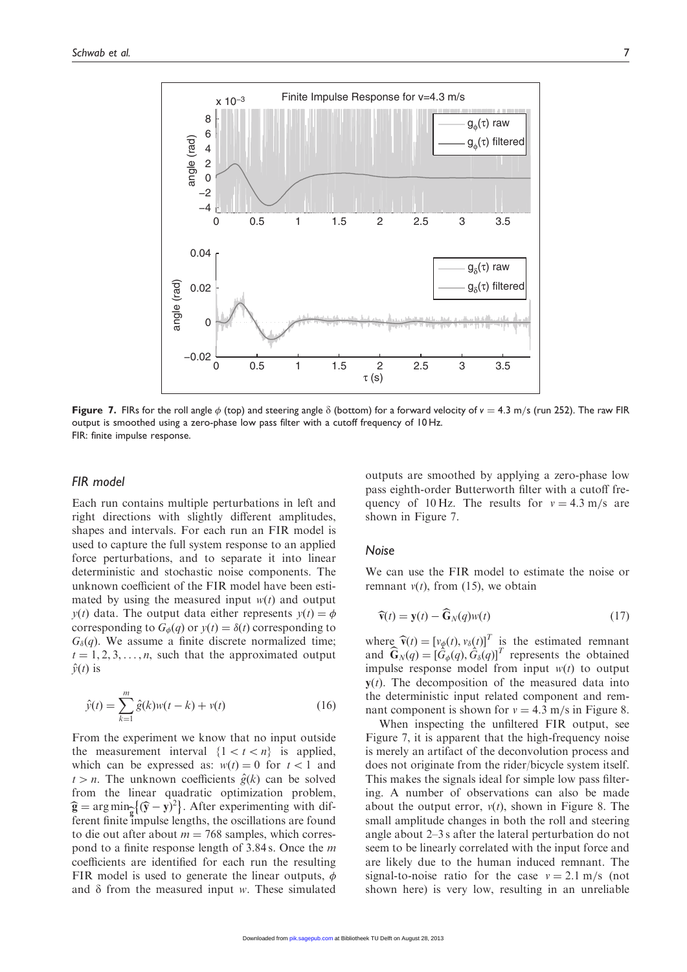

**Figure 7.** FIRs for the roll angle  $\phi$  (top) and steering angle  $\delta$  (bottom) for a forward velocity of v = 4.3 m/s (run 252). The raw FIR output is smoothed using a zero-phase low pass filter with a cutoff frequency of 10 Hz. FIR: finite impulse response.

#### FIR model

Each run contains multiple perturbations in left and right directions with slightly different amplitudes, shapes and intervals. For each run an FIR model is used to capture the full system response to an applied force perturbations, and to separate it into linear deterministic and stochastic noise components. The unknown coefficient of the FIR model have been estimated by using the measured input  $w(t)$  and output  $y(t)$  data. The output data either represents  $y(t) = \phi$ corresponding to  $G_{\phi}(q)$  or  $y(t) = \delta(t)$  corresponding to  $G_{\delta}(q)$ . We assume a finite discrete normalized time;  $t = 1, 2, 3, \ldots, n$ , such that the approximated output  $\hat{y}(t)$  is

$$
\hat{y}(t) = \sum_{k=1}^{m} \hat{g}(k)w(t-k) + v(t)
$$
\n(16)

From the experiment we know that no input outside the measurement interval  $\{1 < t < n\}$  is applied, which can be expressed as:  $w(t) = 0$  for  $t < 1$  and  $t > n$ . The unknown coefficients  $\hat{g}(k)$  can be solved from the linear quadratic optimization problem,  $\hat{\mathbf{g}} = \arg \min_{\mathbf{g}} \{(\hat{\mathbf{y}} - \mathbf{y})^2\}$ . After experimenting with dif-<br>form faith impulse lengths, the scallations are found ferent finite impulse lengths, the oscillations are found to die out after about  $m = 768$  samples, which correspond to a finite response length of 3.84 s. Once the m coefficients are identified for each run the resulting FIR model is used to generate the linear outputs,  $\phi$ and  $\delta$  from the measured input w. These simulated

outputs are smoothed by applying a zero-phase low pass eighth-order Butterworth filter with a cutoff frequency of 10 Hz. The results for  $v = 4.3$  m/s are shown in Figure 7.

#### Noise

We can use the FIR model to estimate the noise or remnant  $v(t)$ , from (15), we obtain

$$
\widehat{\mathbf{v}}(t) = \mathbf{y}(t) - \widehat{\mathbf{G}}_N(q)w(t)
$$
\n(17)

where  $\hat{\mathbf{v}}(t) = [v_{\phi}(t), v_{\delta}(t)]^T$  is the estimated remnant and  $\widehat{\mathbf{G}}_N(q) = [\widehat{G}_{\phi}(q), \widehat{G}_{\delta}(q)]^T$  represents the obtained impulse response model from input  $w(t)$  to output  $y(t)$ . The decomposition of the measured data into the deterministic input related component and remnant component is shown for  $v = 4.3$  m/s in Figure 8.

When inspecting the unfiltered FIR output, see Figure 7, it is apparent that the high-frequency noise is merely an artifact of the deconvolution process and does not originate from the rider/bicycle system itself. This makes the signals ideal for simple low pass filtering. A number of observations can also be made about the output error,  $v(t)$ , shown in Figure 8. The small amplitude changes in both the roll and steering angle about 2–3 s after the lateral perturbation do not seem to be linearly correlated with the input force and are likely due to the human induced remnant. The signal-to-noise ratio for the case  $v = 2.1$  m/s (not shown here) is very low, resulting in an unreliable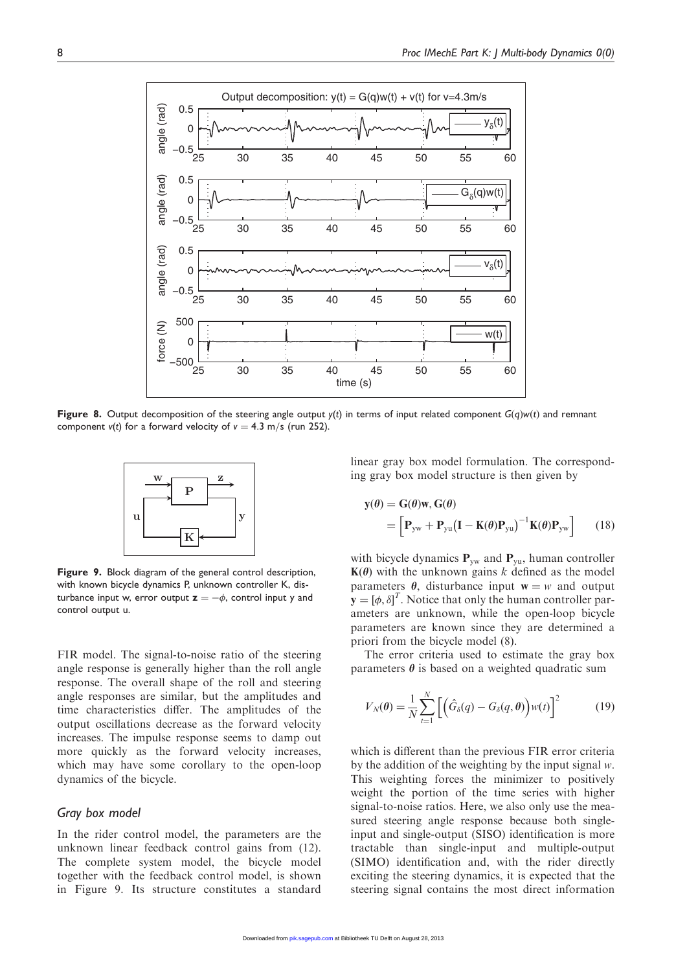

Figure 8. Output decomposition of the steering angle output  $y(t)$  in terms of input related component  $G(q)w(t)$  and remnant component  $v(t)$  for a forward velocity of  $v = 4.3$  m/s (run 252).



Figure 9. Block diagram of the general control description, with known bicycle dynamics P, unknown controller K, disturbance input w, error output  $\mathbf{z} = -\phi$ , control input y and control output u.

FIR model. The signal-to-noise ratio of the steering angle response is generally higher than the roll angle response. The overall shape of the roll and steering angle responses are similar, but the amplitudes and time characteristics differ. The amplitudes of the output oscillations decrease as the forward velocity increases. The impulse response seems to damp out more quickly as the forward velocity increases, which may have some corollary to the open-loop dynamics of the bicycle.

#### Gray box model

In the rider control model, the parameters are the unknown linear feedback control gains from (12). The complete system model, the bicycle model together with the feedback control model, is shown in Figure 9. Its structure constitutes a standard

linear gray box model formulation. The corresponding gray box model structure is then given by

$$
\mathbf{y}(\theta) = \mathbf{G}(\theta)\mathbf{w}, \mathbf{G}(\theta)
$$
  
=  $\left[\mathbf{P}_{\text{yw}} + \mathbf{P}_{\text{yu}}(\mathbf{I} - \mathbf{K}(\theta)\mathbf{P}_{\text{yu}})^{-1}\mathbf{K}(\theta)\mathbf{P}_{\text{yw}}\right]$  (18)

with bicycle dynamics  $P_{yw}$  and  $P_{yu}$ , human controller  $K(\theta)$  with the unknown gains k defined as the model parameters  $\theta$ , disturbance input  $w = w$  and output  $\mathbf{y} = [\phi, \delta]^T$ . Notice that only the human controller parameters are unknown, while the open-loop bicycle parameters are known since they are determined a priori from the bicycle model (8).

The error criteria used to estimate the gray box parameters  $\theta$  is based on a weighted quadratic sum

$$
V_N(\theta) = \frac{1}{N} \sum_{t=1}^N \left[ \left( \hat{G}_\delta(q) - G_\delta(q, \theta) \right) w(t) \right]^2 \tag{19}
$$

which is different than the previous FIR error criteria by the addition of the weighting by the input signal  $w$ . This weighting forces the minimizer to positively weight the portion of the time series with higher signal-to-noise ratios. Here, we also only use the measured steering angle response because both singleinput and single-output (SISO) identification is more tractable than single-input and multiple-output (SIMO) identification and, with the rider directly exciting the steering dynamics, it is expected that the steering signal contains the most direct information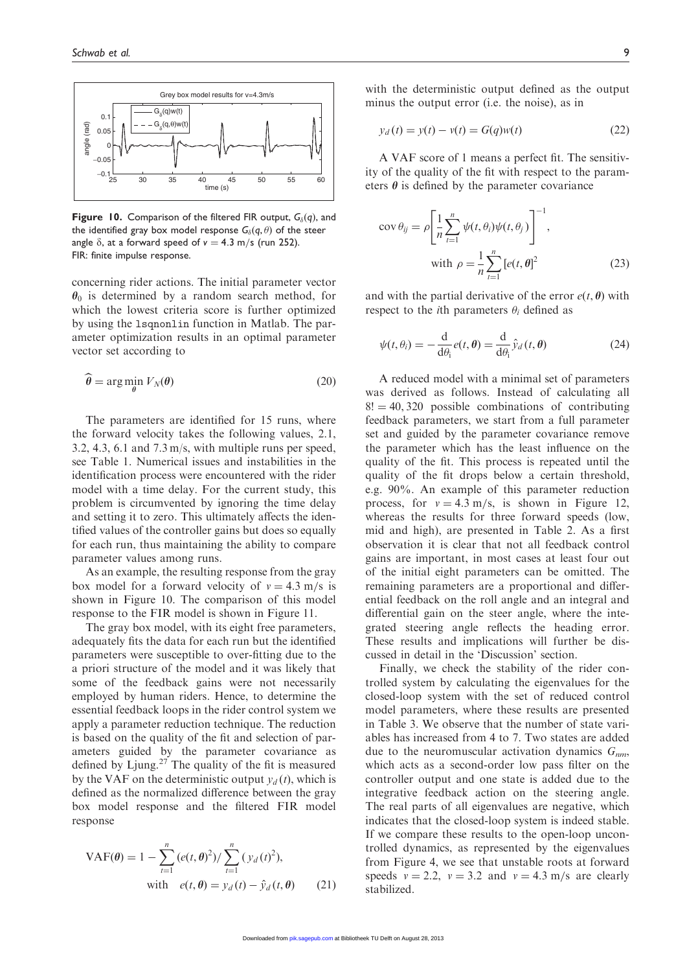

**Figure 10.** Comparison of the filtered FIR output,  $G_8(q)$ , and the identified gray box model response  $G_{\delta}(q, \theta)$  of the steer angle  $\delta$ , at a forward speed of  $v = 4.3$  m/s (run 252). FIR: finite impulse response.

concerning rider actions. The initial parameter vector  $\theta_0$  is determined by a random search method, for which the lowest criteria score is further optimized by using the 1 sqnonlin function in Matlab. The parameter optimization results in an optimal parameter vector set according to

$$
\hat{\boldsymbol{\theta}} = \arg\min_{\boldsymbol{\theta}} V_N(\boldsymbol{\theta})
$$
\n(20)

The parameters are identified for 15 runs, where the forward velocity takes the following values, 2.1, 3.2, 4.3, 6.1 and 7.3 m/s, with multiple runs per speed, see Table 1. Numerical issues and instabilities in the identification process were encountered with the rider model with a time delay. For the current study, this problem is circumvented by ignoring the time delay and setting it to zero. This ultimately affects the identified values of the controller gains but does so equally for each run, thus maintaining the ability to compare parameter values among runs.

As an example, the resulting response from the gray box model for a forward velocity of  $v = 4.3$  m/s is shown in Figure 10. The comparison of this model response to the FIR model is shown in Figure 11.

The gray box model, with its eight free parameters, adequately fits the data for each run but the identified parameters were susceptible to over-fitting due to the a priori structure of the model and it was likely that some of the feedback gains were not necessarily employed by human riders. Hence, to determine the essential feedback loops in the rider control system we apply a parameter reduction technique. The reduction is based on the quality of the fit and selection of parameters guided by the parameter covariance as defined by Ljung. $27$  The quality of the fit is measured by the VAF on the deterministic output  $y_d(t)$ , which is defined as the normalized difference between the gray box model response and the filtered FIR model response

$$
VAF(\theta) = 1 - \sum_{t=1}^{n} (e(t, \theta)^{2}) / \sum_{t=1}^{n} (y_{d}(t)^{2}),
$$
  
with  $e(t, \theta) = y_{d}(t) - \hat{y}_{d}(t, \theta)$  (21)

with the deterministic output defined as the output minus the output error (i.e. the noise), as in

$$
y_d(t) = y(t) - v(t) = G(q)w(t)
$$
 (22)

A VAF score of 1 means a perfect fit. The sensitivity of the quality of the fit with respect to the parameters  $\theta$  is defined by the parameter covariance

$$
\operatorname{cov} \theta_{ij} = \rho \left[ \frac{1}{n} \sum_{t=1}^{n} \psi(t, \theta_i) \psi(t, \theta_j) \right]^{-1},
$$
  
with 
$$
\rho = \frac{1}{n} \sum_{t=1}^{n} [e(t, \theta)]^{2}
$$
 (23)

and with the partial derivative of the error  $e(t, \theta)$  with respect to the *i*th parameters  $\theta_i$  defined as

$$
\psi(t,\theta_i) = -\frac{\mathrm{d}}{\mathrm{d}\theta_i}e(t,\theta) = \frac{\mathrm{d}}{\mathrm{d}\theta_i}\hat{y}_d(t,\theta) \tag{24}
$$

A reduced model with a minimal set of parameters was derived as follows. Instead of calculating all  $8! = 40,320$  possible combinations of contributing feedback parameters, we start from a full parameter set and guided by the parameter covariance remove the parameter which has the least influence on the quality of the fit. This process is repeated until the quality of the fit drops below a certain threshold, e.g. 90%. An example of this parameter reduction process, for  $v = 4.3$  m/s, is shown in Figure 12, whereas the results for three forward speeds (low, mid and high), are presented in Table 2. As a first observation it is clear that not all feedback control gains are important, in most cases at least four out of the initial eight parameters can be omitted. The remaining parameters are a proportional and differential feedback on the roll angle and an integral and differential gain on the steer angle, where the integrated steering angle reflects the heading error. These results and implications will further be discussed in detail in the 'Discussion' section.

Finally, we check the stability of the rider controlled system by calculating the eigenvalues for the closed-loop system with the set of reduced control model parameters, where these results are presented in Table 3. We observe that the number of state variables has increased from 4 to 7. Two states are added due to the neuromuscular activation dynamics  $G_{nm}$ , which acts as a second-order low pass filter on the controller output and one state is added due to the integrative feedback action on the steering angle. The real parts of all eigenvalues are negative, which indicates that the closed-loop system is indeed stable. If we compare these results to the open-loop uncontrolled dynamics, as represented by the eigenvalues from Figure 4, we see that unstable roots at forward speeds  $v = 2.2$ ,  $v = 3.2$  and  $v = 4.3$  m/s are clearly stabilized.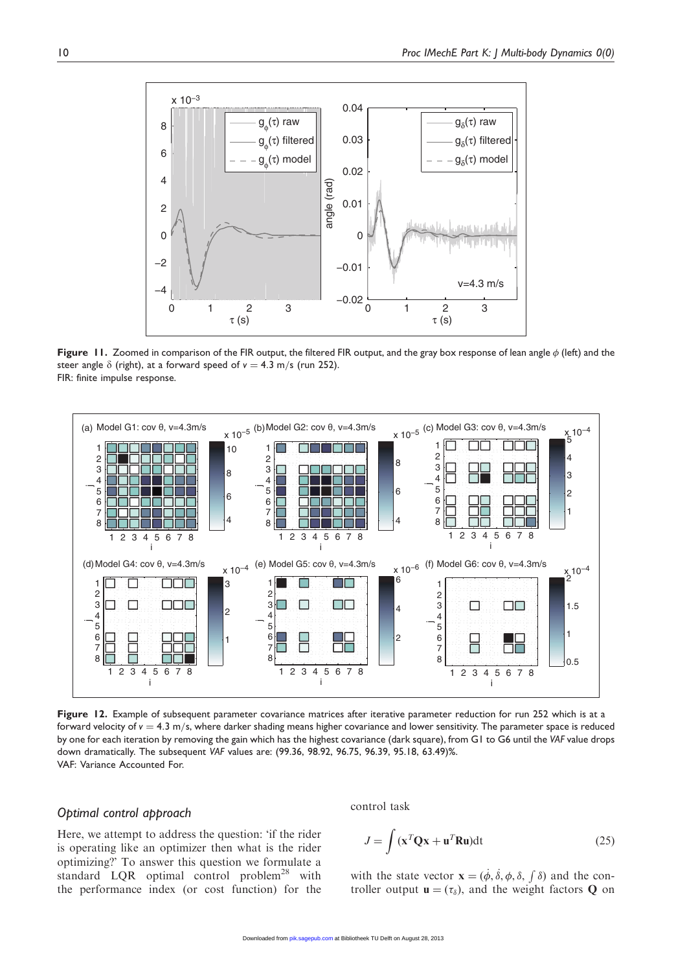

**Figure 11.** Zoomed in comparison of the FIR output, the filtered FIR output, and the gray box response of lean angle  $\phi$  (left) and the steer angle  $\delta$  (right), at a forward speed of  $v = 4.3$  m/s (run 252). FIR: finite impulse response.



Figure 12. Example of subsequent parameter covariance matrices after iterative parameter reduction for run 252 which is at a forward velocity of  $v = 4.3$  m/s, where darker shading means higher covariance and lower sensitivity. The parameter space is reduced by one for each iteration by removing the gain which has the highest covariance (dark square), from G1 to G6 until the VAF value drops down dramatically. The subsequent VAF values are: (99.36, 98.92, 96.75, 96.39, 95.18, 63.49)%. VAF: Variance Accounted For.

# Optimal control approach

Here, we attempt to address the question: 'if the rider is operating like an optimizer then what is the rider optimizing?' To answer this question we formulate a standard LQR optimal control problem<sup>28</sup> with the performance index (or cost function) for the control task

$$
J = \int (\mathbf{x}^T \mathbf{Q} \mathbf{x} + \mathbf{u}^T \mathbf{R} \mathbf{u}) \mathrm{dt}
$$
 (25)

with the state vector  $\mathbf{x} = (\dot{\phi}, \dot{\delta}, \phi, \delta, \int \delta)$  and the controller output  $\mathbf{u} = (\tau_{\delta})$ , and the weight factors **Q** on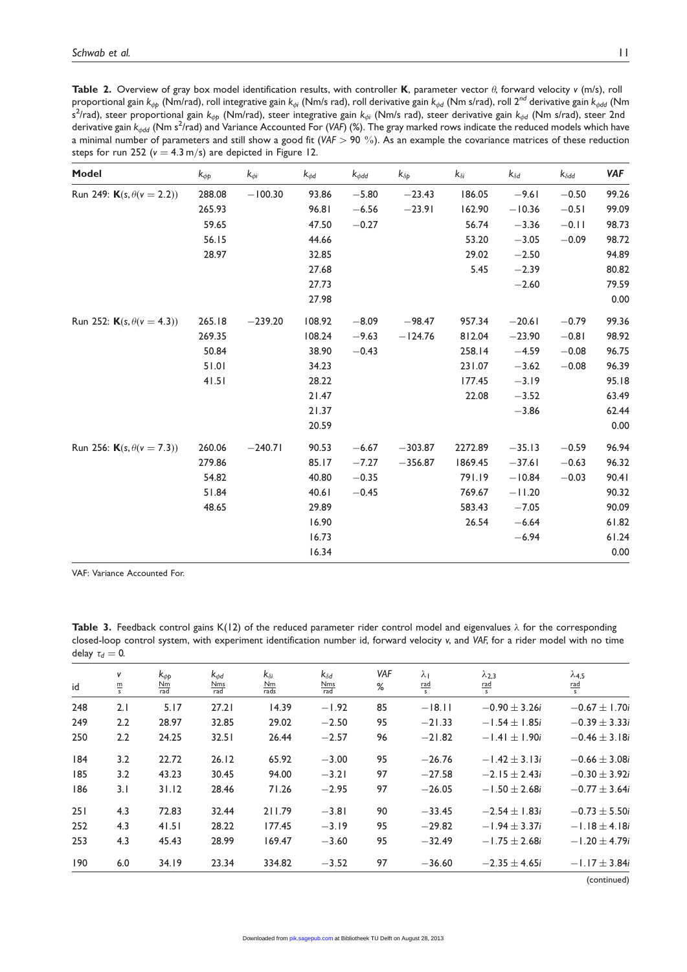Table 2. Overview of gray box model identification results, with controller K, parameter vector  $\theta$ , forward velocity v (m/s), roll proportional gain k<sub>¢p</sub> (Nm/rad), roll integrative gain k<sub>¢i</sub> (Nm/s rad), roll derivative gain k<sub>¢d</sub> (Nm s/rad), roll 2<sup>nd</sup> derivative gain k<sub>¢dd</sub> (Nm s<sup>2</sup>/rad), steer proportional gain k<sub>φp</sub> (Nm/rad), steer integrative gain k<sub>φi</sub> (Nm/s rad), steer derivative gain k<sub>φd</sub> (Nm s/rad), steer 2nd derivative gain  $k_{\phi dd}$  (Nm s<sup>2</sup>/rad) and Variance Accounted For (VAF) (%). The gray marked rows indicate the reduced models which have a minimal number of parameters and still show a good fit (VAF  $>$  90 %). As an example the covariance matrices of these reduction steps for run 252 ( $v = 4.3$  m/s) are depicted in Figure 12.

| Model                                     | $k_{\phi p}$ | $k_{\phi i}$ | $k_{\phi d}$ | $k_{\phi$ dd | $k_{\delta p}$ | $k_{\delta i}$ | $k_{\delta d}$ | $k_{\delta dd}$ | <b>VAF</b> |
|-------------------------------------------|--------------|--------------|--------------|--------------|----------------|----------------|----------------|-----------------|------------|
| Run 249: <b>K</b> (s, $\theta$ (v = 2.2)) | 288.08       | $-100.30$    | 93.86        | $-5.80$      | $-23.43$       | 186.05         | $-9.61$        | $-0.50$         | 99.26      |
|                                           | 265.93       |              | 96.81        | $-6.56$      | $-23.91$       | 162.90         | $-10.36$       | $-0.51$         | 99.09      |
|                                           | 59.65        |              | 47.50        | $-0.27$      |                | 56.74          | $-3.36$        | $-0.11$         | 98.73      |
|                                           | 56.15        |              | 44.66        |              |                | 53.20          | $-3.05$        | $-0.09$         | 98.72      |
|                                           | 28.97        |              | 32.85        |              |                | 29.02          | $-2.50$        |                 | 94.89      |
|                                           |              |              | 27.68        |              |                | 5.45           | $-2.39$        |                 | 80.82      |
|                                           |              |              | 27.73        |              |                |                | $-2.60$        |                 | 79.59      |
|                                           |              |              | 27.98        |              |                |                |                |                 | 0.00       |
| Run 252: <b>K</b> (s, $\theta$ (v = 4.3)) | 265.18       | $-239.20$    | 108.92       | $-8.09$      | $-98.47$       | 957.34         | $-20.61$       | $-0.79$         | 99.36      |
|                                           | 269.35       |              | 108.24       | $-9.63$      | $-124.76$      | 812.04         | $-23.90$       | $-0.81$         | 98.92      |
|                                           | 50.84        |              | 38.90        | $-0.43$      |                | 258.14         | $-4.59$        | $-0.08$         | 96.75      |
|                                           | 51.01        |              | 34.23        |              |                | 231.07         | $-3.62$        | $-0.08$         | 96.39      |
|                                           | 41.51        |              | 28.22        |              |                | 177.45         | $-3.19$        |                 | 95.18      |
|                                           |              |              | 21.47        |              |                | 22.08          | $-3.52$        |                 | 63.49      |
|                                           |              |              | 21.37        |              |                |                | $-3.86$        |                 | 62.44      |
|                                           |              |              | 20.59        |              |                |                |                |                 | $0.00\,$   |
| Run 256: <b>K</b> (s, $\theta$ (v = 7.3)) | 260.06       | $-240.71$    | 90.53        | $-6.67$      | $-303.87$      | 2272.89        | $-35.13$       | $-0.59$         | 96.94      |
|                                           | 279.86       |              | 85.17        | $-7.27$      | $-356.87$      | 1869.45        | $-37.61$       | $-0.63$         | 96.32      |
|                                           | 54.82        |              | 40.80        | $-0.35$      |                | 791.19         | $-10.84$       | $-0.03$         | 90.41      |
|                                           | 51.84        |              | 40.61        | $-0.45$      |                | 769.67         | $-11.20$       |                 | 90.32      |
|                                           | 48.65        |              | 29.89        |              |                | 583.43         | $-7.05$        |                 | 90.09      |
|                                           |              |              | 16.90        |              |                | 26.54          | $-6.64$        |                 | 61.82      |
|                                           |              |              | 16.73        |              |                |                | $-6.94$        |                 | 61.24      |
|                                           |              |              | 16.34        |              |                |                |                |                 | 0.00       |

VAF: Variance Accounted For.

Table 3. Feedback control gains K(12) of the reduced parameter rider control model and eigenvalues  $\lambda$  for the corresponding closed-loop control system, with experiment identification number id, forward velocity v, and VAF, for a rider model with no time delay  $\tau_d = 0$ .

| id  | v<br>$\frac{m}{s}$ | $k_{db}$<br>$\frac{\text{Nm}}{\text{rad}}$ | $k_{dd}$<br>$\frac{\text{Nms}}{\text{rad}}$ | $k_{\delta i}$<br>$\frac{Nm}{rads}$ | $k_{\delta d}$<br>$\frac{\text{Nms}}{\text{rad}}$ | VAF<br>% | $\lambda_1$<br>$rac{rad}{s}$ | $\lambda_{2,3}$<br>$rac{rad}{s}$ | $\lambda$ 4.5<br>$rac{\text{rad}}{\text{s}}$ |
|-----|--------------------|--------------------------------------------|---------------------------------------------|-------------------------------------|---------------------------------------------------|----------|------------------------------|----------------------------------|----------------------------------------------|
| 248 | 2.1                | 5.17                                       | 27.21                                       | 14.39                               | $-1.92$                                           | 85       | $-18.11$                     | $-0.90 \pm 3.26i$                | $-0.67 \pm 1.70i$                            |
| 249 | 2.2                | 28.97                                      | 32.85                                       | 29.02                               | $-2.50$                                           | 95       | $-21.33$                     | $-1.54 \pm 1.85i$                | $-0.39 \pm 3.33i$                            |
| 250 | 2.2                | 24.25                                      | 32.51                                       | 26.44                               | $-2.57$                                           | 96       | $-21.82$                     | $-1.41 \pm 1.90i$                | $-0.46 \pm 3.18i$                            |
| 184 | 3.2                | 22.72                                      | 26.12                                       | 65.92                               | $-3.00$                                           | 95       | $-26.76$                     | $-1.42 \pm 3.13i$                | $-0.66 \pm 3.08i$                            |
| 185 | 3.2                | 43.23                                      | 30.45                                       | 94.00                               | $-3.21$                                           | 97       | $-27.58$                     | $-2.15 \pm 2.43i$                | $-0.30 \pm 3.92i$                            |
| 186 | 3.1                | 31.12                                      | 28.46                                       | 71.26                               | $-2.95$                                           | 97       | $-26.05$                     | $-1.50 \pm 2.68i$                | $-0.77 \pm 3.64i$                            |
| 251 | 4.3                | 72.83                                      | 32.44                                       | 211.79                              | $-3.81$                                           | 90       | $-33.45$                     | $-2.54 \pm 1.83i$                | $-0.73 \pm 5.50i$                            |
| 252 | 4.3                | 41.51                                      | 28.22                                       | 177.45                              | $-3.19$                                           | 95       | $-29.82$                     | $-1.94 \pm 3.37i$                | $-1.18 \pm 4.18i$                            |
| 253 | 4.3                | 45.43                                      | 28.99                                       | 169.47                              | $-3.60$                                           | 95       | $-32.49$                     | $-1.75 \pm 2.68i$                | $-1.20 \pm 4.79i$                            |
| 190 | 6.0                | 34.19                                      | 23.34                                       | 334.82                              | $-3.52$                                           | 97       | $-36.60$                     | $-2.35 \pm 4.65i$                | $-1.17 \pm 3.84i$                            |
|     |                    |                                            |                                             |                                     |                                                   |          |                              |                                  | $\sqrt{2}$ $\sqrt{2}$                        |

(continued)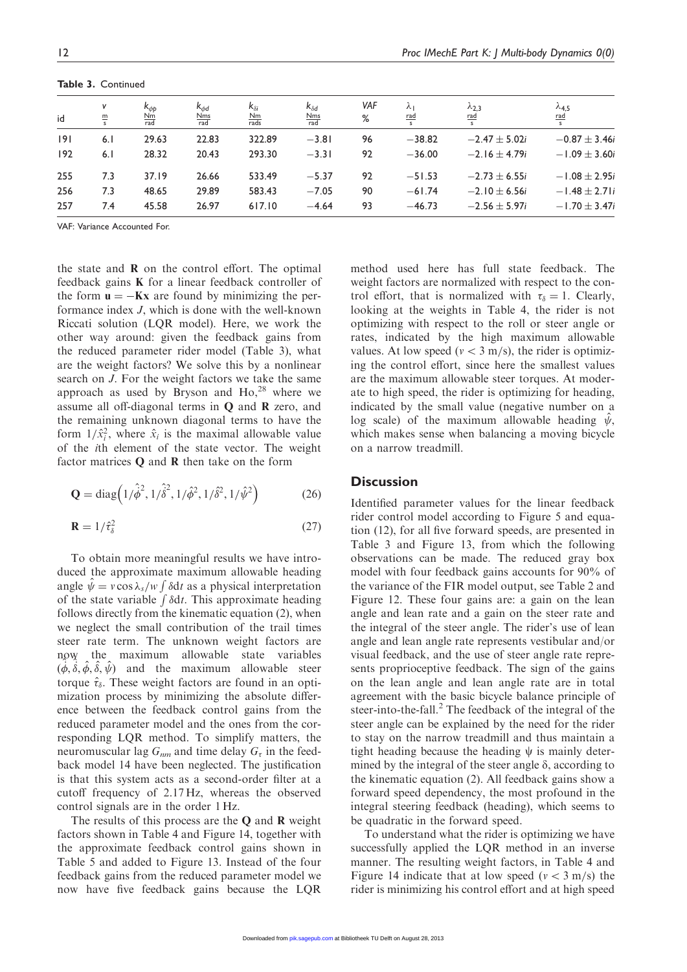|     | $\sim$             |                                                |                                             |                                     |                                                   |          |                  |                                               |                                  |
|-----|--------------------|------------------------------------------------|---------------------------------------------|-------------------------------------|---------------------------------------------------|----------|------------------|-----------------------------------------------|----------------------------------|
| id  | V<br>$\frac{m}{s}$ | $k_{\phi b}$<br>$\frac{\text{Nm}}{\text{rad}}$ | $k_{dd}$<br>$\frac{\text{Nms}}{\text{rad}}$ | $k_{\delta i}$<br>$\frac{Nm}{rads}$ | $k_{\delta d}$<br>$\frac{\text{Nms}}{\text{rad}}$ | VAF<br>% | ⋏∣<br><u>rad</u> | $\lambda_{2,3}$<br><u>rad</u><br>$\mathbf{s}$ | $\lambda$ 4.5<br><u>rad</u><br>s |
| 9   | 6.1                | 29.63                                          | 22.83                                       | 322.89                              | $-3.81$                                           | 96       | $-38.82$         | $-2.47 \pm 5.02i$                             | $-0.87 \pm 3.46i$                |
| 192 | 6.1                | 28.32                                          | 20.43                                       | 293.30                              | $-3.31$                                           | 92       | $-36.00$         | $-2.16 \pm 4.79i$                             | $-1.09 \pm 3.60i$                |
| 255 | 7.3                | 37.19                                          | 26.66                                       | 533.49                              | $-5.37$                                           | 92       | $-51.53$         | $-2.73 \pm 6.55i$                             | $-1.08 \pm 2.95i$                |
| 256 | 7.3                | 48.65                                          | 29.89                                       | 583.43                              | $-7.05$                                           | 90       | $-61.74$         | $-2.10 \pm 6.56i$                             | $-1.48 \pm 2.71i$                |
| 257 | 7.4                | 45.58                                          | 26.97                                       | 617.10                              | $-4.64$                                           | 93       | $-46.73$         | $-2.56 \pm 5.97i$                             | $-1.70 \pm 3.47i$                |

Table 3. Continued

VAF: Variance Accounted For.

the state and  **on the control effort. The optimal** feedback gains K for a linear feedback controller of the form  $\mathbf{u} = -\mathbf{K}\mathbf{x}$  are found by minimizing the performance index J, which is done with the well-known Riccati solution (LQR model). Here, we work the other way around: given the feedback gains from the reduced parameter rider model (Table 3), what are the weight factors? We solve this by a nonlinear search on J. For the weight factors we take the same approach as used by Bryson and  $Ho<sub>1</sub><sup>28</sup>$  where we assume all off-diagonal terms in Q and R zero, and the remaining unknown diagonal terms to have the form  $1/\hat{x}_i^2$ , where  $\hat{x}_i$  is the maximal allowable value of the ith element of the state vector. The weight factor matrices Q and R then take on the form

$$
\mathbf{Q} = \text{diag}\left(1/\hat{\phi}^2, 1/\hat{\delta}^2, 1/\hat{\phi}^2, 1/\hat{\delta}^2, 1/\hat{\psi}^2\right) \tag{26}
$$

$$
\mathbf{R} = 1/\hat{\tau}_{\delta}^2 \tag{27}
$$

To obtain more meaningful results we have introduced the approximate maximum allowable heading angle  $\hat{\psi} = v \cos \lambda_s / w \int \delta \mathrm{d}t$  as a physical interpretation of the state variable  $\int \delta dt$ . This approximate heading follows directly from the kinematic equation (2), when we neglect the small contribution of the trail times steer rate term. The unknown weight factors are now the maximum allowable state variables  $(\dot{\phi}, \dot{\delta}, \dot{\phi}, \hat{\delta}, \dot{\psi})$  and the maximum allowable steer torque  $\hat{\tau}_{\delta}$ . These weight factors are found in an optimization process by minimizing the absolute difference between the feedback control gains from the reduced parameter model and the ones from the corresponding LQR method. To simplify matters, the neuromuscular lag  $G_{nm}$  and time delay  $G_{\tau}$  in the feedback model 14 have been neglected. The justification is that this system acts as a second-order filter at a cutoff frequency of 2.17 Hz, whereas the observed control signals are in the order 1 Hz.

The results of this process are the  $Q$  and  $R$  weight factors shown in Table 4 and Figure 14, together with the approximate feedback control gains shown in Table 5 and added to Figure 13. Instead of the four feedback gains from the reduced parameter model we now have five feedback gains because the LQR

method used here has full state feedback. The weight factors are normalized with respect to the control effort, that is normalized with  $\tau_{\delta} = 1$ . Clearly, looking at the weights in Table 4, the rider is not optimizing with respect to the roll or steer angle or rates, indicated by the high maximum allowable values. At low speed ( $v < 3$  m/s), the rider is optimizing the control effort, since here the smallest values are the maximum allowable steer torques. At moderate to high speed, the rider is optimizing for heading, indicated by the small value (negative number on a log scale) of the maximum allowable heading  $\psi$ , which makes sense when balancing a moving bicycle on a narrow treadmill.

#### **Discussion**

Identified parameter values for the linear feedback rider control model according to Figure 5 and equation (12), for all five forward speeds, are presented in Table 3 and Figure 13, from which the following observations can be made. The reduced gray box model with four feedback gains accounts for 90% of the variance of the FIR model output, see Table 2 and Figure 12. These four gains are: a gain on the lean angle and lean rate and a gain on the steer rate and the integral of the steer angle. The rider's use of lean angle and lean angle rate represents vestibular and/or visual feedback, and the use of steer angle rate represents proprioceptive feedback. The sign of the gains on the lean angle and lean angle rate are in total agreement with the basic bicycle balance principle of steer-into-the-fall. $<sup>2</sup>$  The feedback of the integral of the</sup> steer angle can be explained by the need for the rider to stay on the narrow treadmill and thus maintain a tight heading because the heading  $\psi$  is mainly determined by the integral of the steer angle  $\delta$ , according to the kinematic equation (2). All feedback gains show a forward speed dependency, the most profound in the integral steering feedback (heading), which seems to be quadratic in the forward speed.

To understand what the rider is optimizing we have successfully applied the LQR method in an inverse manner. The resulting weight factors, in Table 4 and Figure 14 indicate that at low speed ( $v < 3$  m/s) the rider is minimizing his control effort and at high speed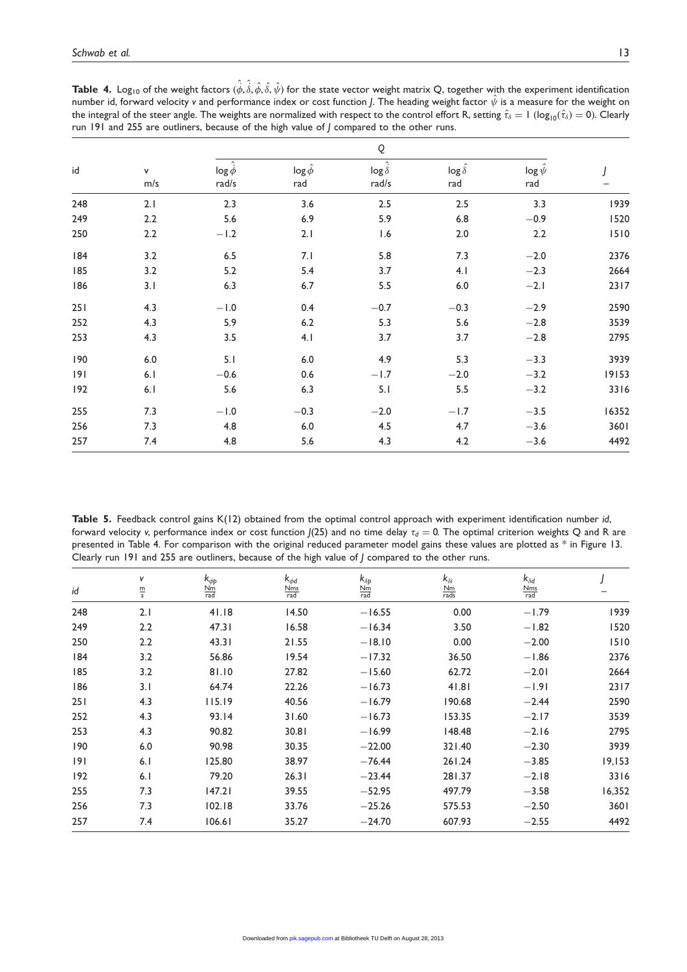|     |          | Q                                           |                          |                                                     |                            |                          |       |  |
|-----|----------|---------------------------------------------|--------------------------|-----------------------------------------------------|----------------------------|--------------------------|-------|--|
| id  | v<br>m/s | $\hat{\mathcal{L}}$<br>$\log \phi$<br>rad/s | $\log \hat{\phi}$<br>rad | $\hat{\phantom{a}}$<br>$\log \dot{\delta}$<br>rad/s | $\log \hat{\delta}$<br>rad | $\log \hat{\psi}$<br>rad |       |  |
| 248 | 2.1      | 2.3                                         | 3.6                      | 2.5                                                 | 2.5                        | 3.3                      | 1939  |  |
| 249 | 2.2      | 5.6                                         | 6.9                      | 5.9                                                 | $6.8\,$                    | $-0.9$                   | 1520  |  |
| 250 | 2.2      | $-1.2$                                      | 2.1                      | 1.6                                                 | 2.0                        | 2.2                      | 1510  |  |
| 184 | 3.2      | $6.5\,$                                     | 7.1                      | 5.8                                                 | 7.3                        | $-2.0$                   | 2376  |  |
| 185 | 3.2      | 5.2                                         | 5.4                      | 3.7                                                 | 4.1                        | $-2.3$                   | 2664  |  |
| 186 | 3.1      | 6.3                                         | 6.7                      | 5.5                                                 | 6.0                        | $-2.1$                   | 2317  |  |
| 251 | 4.3      | $-1.0$                                      | 0.4                      | $-0.7$                                              | $-0.3$                     | $-2.9$                   | 2590  |  |
| 252 | 4.3      | 5.9                                         | $6.2\,$                  | 5.3                                                 | 5.6                        | $-2.8$                   | 3539  |  |
| 253 | 4.3      | 3.5                                         | 4.1                      | 3.7                                                 | 3.7                        | $-2.8$                   | 2795  |  |
| 190 | $6.0\,$  | 5.1                                         | $6.0\,$                  | 4.9                                                 | 5.3                        | $-3.3$                   | 3939  |  |
| 9   | 6.1      | $-0.6$                                      | 0.6                      | $-1.7$                                              | $-2.0$                     | $-3.2$                   | 19153 |  |
| 192 | 6.1      | 5.6                                         | 6.3                      | 5.1                                                 | 5.5                        | $-3.2$                   | 3316  |  |
| 255 | 7.3      | $-1.0$                                      | $-0.3$                   | $-2.0$                                              | $-1.7$                     | $-3.5$                   | 16352 |  |
| 256 | 7.3      | 4.8                                         | $6.0\,$                  | 4.5                                                 | 4.7                        | $-3.6$                   | 3601  |  |
| 257 | 7.4      | 4.8                                         | 5.6                      | 4.3                                                 | 4.2                        | $-3.6$                   | 4492  |  |

**Table 4.** Log<sub>10</sub> of the weight factors  $(\hat{\phi},\hat{\delta},\hat{\phi},\hat{\delta},\hat{\psi})$  for the state vector weight matrix Q, together with the experiment identification number id, forward velocity v and performance index or cost function J. The heading weight factor  $\hat{\psi}$  is a measure for the weight on the integral of the steer angle. The weights are normalized with respect to the control effort R, setting  $\hat{\tau}_{\delta} = 1$  (log<sub>10</sub> $(\hat{\tau}_{\delta}) = 0$ ). Clearly run 191 and 255 are outliners, because of the high value of J compared to the other runs.

Table 5. Feedback control gains K(12) obtained from the optimal control approach with experiment identification number id, forward velocity v, performance index or cost function  $J(25)$  and no time delay  $\tau_d = 0$ . The optimal criterion weights Q and R are presented in Table 4. For comparison with the original reduced parameter model gains these values are plotted as \* in Figure 13. Clearly run 191 and 255 are outliners, because of the high value of J compared to the other runs.

| id  | v<br>$\frac{\text{m}}{\text{s}}$ | $k_{\phi p}$<br>$\frac{\text{Nm}}{\text{rad}}$ | $k_{dd}$<br>$\frac{\text{Nms}}{\text{rad}}$ | $k_{\delta p}$<br>$\frac{\text{Nm}}{\text{rad}}$ | $k_{\delta i}$<br>$\frac{\text{Nm}}{\text{rads}}$ | $k_{\delta d}$<br>$\frac{\text{Nms}}{\text{rad}}$ |        |
|-----|----------------------------------|------------------------------------------------|---------------------------------------------|--------------------------------------------------|---------------------------------------------------|---------------------------------------------------|--------|
| 248 | 2.1                              | 41.18                                          | 14.50                                       | $-16.55$                                         | 0.00                                              | $-1.79$                                           | 1939   |
|     |                                  |                                                |                                             |                                                  |                                                   |                                                   |        |
| 249 | 2.2                              | 47.31                                          | 16.58                                       | $-16.34$                                         | 3.50                                              | $-1.82$                                           | 1520   |
| 250 | 2.2                              | 43.31                                          | 21.55                                       | $-18.10$                                         | 0.00                                              | $-2.00$                                           | 1510   |
| 84  | 3.2                              | 56.86                                          | 19.54                                       | $-17.32$                                         | 36.50                                             | $-1.86$                                           | 2376   |
| 185 | 3.2                              | 81.10                                          | 27.82                                       | $-15.60$                                         | 62.72                                             | $-2.01$                                           | 2664   |
| 186 | 3.1                              | 64.74                                          | 22.26                                       | $-16.73$                                         | 41.81                                             | $-1.91$                                           | 2317   |
| 251 | 4.3                              | 115.19                                         | 40.56                                       | $-16.79$                                         | 190.68                                            | $-2.44$                                           | 2590   |
| 252 | 4.3                              | 93.14                                          | 31.60                                       | $-16.73$                                         | 153.35                                            | $-2.17$                                           | 3539   |
| 253 | 4.3                              | 90.82                                          | 30.81                                       | $-16.99$                                         | 148.48                                            | $-2.16$                                           | 2795   |
| 190 | 6.0                              | 90.98                                          | 30.35                                       | $-22.00$                                         | 321.40                                            | $-2.30$                                           | 3939   |
| 9   | 6.1                              | 125.80                                         | 38.97                                       | $-76.44$                                         | 261.24                                            | $-3.85$                                           | 19,153 |
| 192 | 6.1                              | 79.20                                          | 26.31                                       | $-23.44$                                         | 281.37                                            | $-2.18$                                           | 3316   |
| 255 | 7.3                              | 147.21                                         | 39.55                                       | $-52.95$                                         | 497.79                                            | $-3.58$                                           | 16,352 |
| 256 | 7.3                              | 102.18                                         | 33.76                                       | $-25.26$                                         | 575.53                                            | $-2.50$                                           | 3601   |
| 257 | 7.4                              | 106.61                                         | 35.27                                       | $-24.70$                                         | 607.93                                            | $-2.55$                                           | 4492   |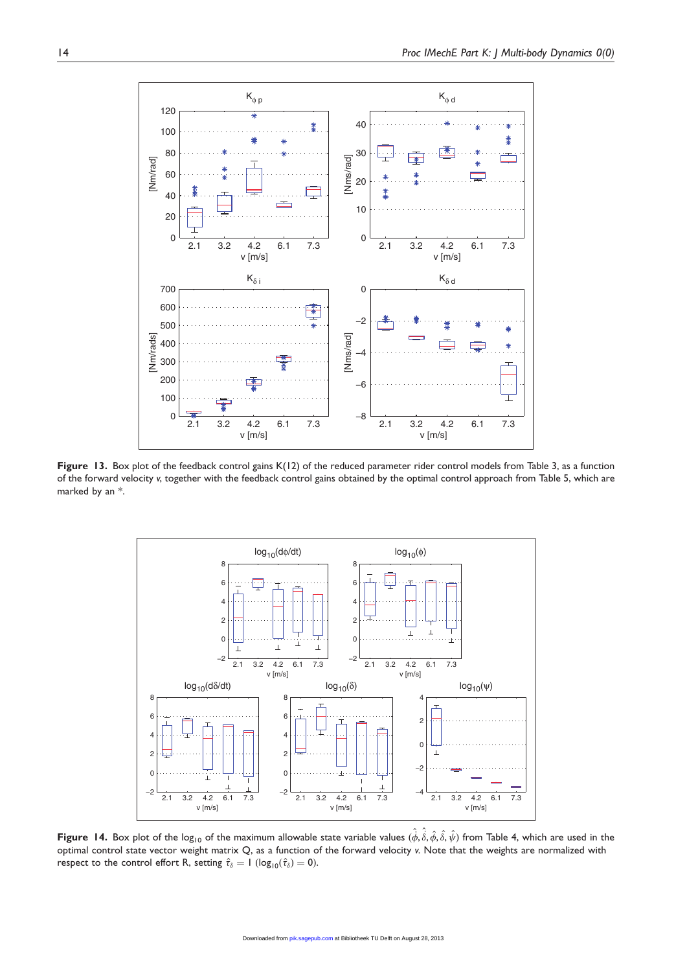

Figure 13. Box plot of the feedback control gains K(12) of the reduced parameter rider control models from Table 3, as a function of the forward velocity v, together with the feedback control gains obtained by the optimal control approach from Table 5, which are marked by an \*.



**Figure 14.** Box plot of the log<sub>10</sub> of the maximum allowable state variable values  $(\hat{\phi},\hat{\hat{s}},\hat{\phi},\hat{\delta},\hat{\psi})$  from Table 4, which are used in the optimal control state vector weight matrix Q, as a function of the forward velocity v. Note that the weights are normalized with respect to the control effort R, setting  $\hat{\tau}_{\delta} = 1$  (log<sub>10</sub> $(\hat{\tau}_{\delta}) = 0$ ).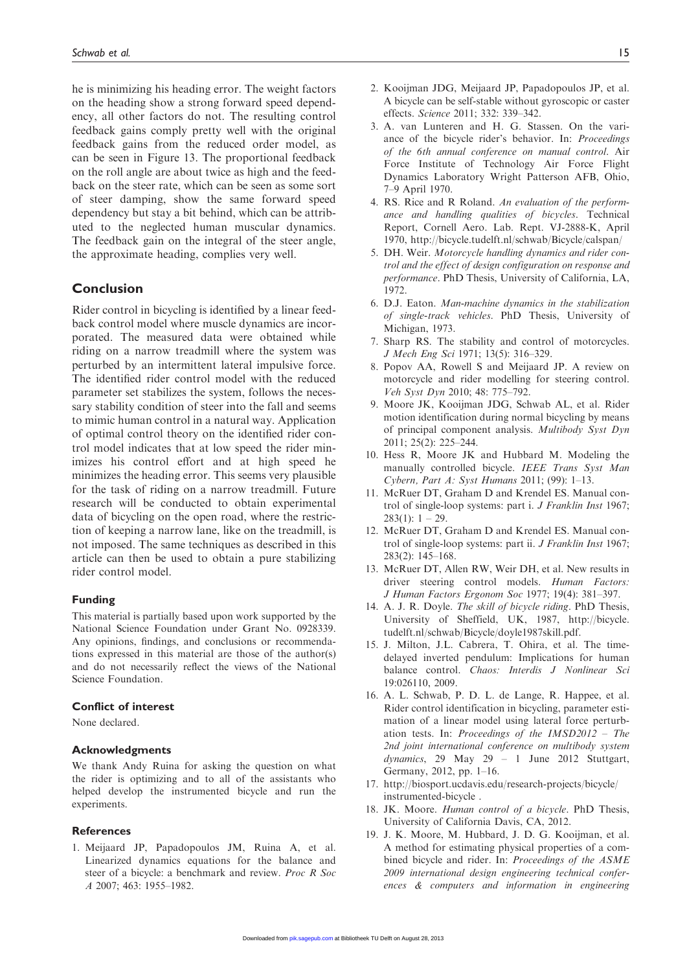he is minimizing his heading error. The weight factors on the heading show a strong forward speed dependency, all other factors do not. The resulting control feedback gains comply pretty well with the original feedback gains from the reduced order model, as can be seen in Figure 13. The proportional feedback on the roll angle are about twice as high and the feedback on the steer rate, which can be seen as some sort of steer damping, show the same forward speed dependency but stay a bit behind, which can be attributed to the neglected human muscular dynamics. The feedback gain on the integral of the steer angle, the approximate heading, complies very well.

## Conclusion

Rider control in bicycling is identified by a linear feedback control model where muscle dynamics are incorporated. The measured data were obtained while riding on a narrow treadmill where the system was perturbed by an intermittent lateral impulsive force. The identified rider control model with the reduced parameter set stabilizes the system, follows the necessary stability condition of steer into the fall and seems to mimic human control in a natural way. Application of optimal control theory on the identified rider control model indicates that at low speed the rider minimizes his control effort and at high speed he minimizes the heading error. This seems very plausible for the task of riding on a narrow treadmill. Future research will be conducted to obtain experimental data of bicycling on the open road, where the restriction of keeping a narrow lane, like on the treadmill, is not imposed. The same techniques as described in this article can then be used to obtain a pure stabilizing rider control model.

#### Funding

This material is partially based upon work supported by the National Science Foundation under Grant No. 0928339. Any opinions, findings, and conclusions or recommendations expressed in this material are those of the author(s) and do not necessarily reflect the views of the National Science Foundation.

#### Conflict of interest

None declared.

#### Acknowledgments

We thank Andy Ruina for asking the question on what the rider is optimizing and to all of the assistants who helped develop the instrumented bicycle and run the experiments.

#### References

1. Meijaard JP, Papadopoulos JM, Ruina A, et al. Linearized dynamics equations for the balance and steer of a bicycle: a benchmark and review. Proc R Soc A 2007; 463: 1955–1982.

- 2. Kooijman JDG, Meijaard JP, Papadopoulos JP, et al. A bicycle can be self-stable without gyroscopic or caster effects. Science 2011; 332: 339–342.
- 3. A. van Lunteren and H. G. Stassen. On the variance of the bicycle rider's behavior. In: Proceedings of the 6th annual conference on manual control. Air Force Institute of Technology Air Force Flight Dynamics Laboratory Wright Patterson AFB, Ohio, 7–9 April 1970.
- 4. RS. Rice and R Roland. An evaluation of the performance and handling qualities of bicycles. Technical Report, Cornell Aero. Lab. Rept. VJ-2888-K, April 1970, http://bicycle.tudelft.nl/schwab/Bicycle/calspan/
- 5. DH. Weir. Motorcycle handling dynamics and rider control and the effect of design configuration on response and performance. PhD Thesis, University of California, LA, 1972.
- 6. D.J. Eaton. Man-machine dynamics in the stabilization of single-track vehicles. PhD Thesis, University of Michigan, 1973.
- 7. Sharp RS. The stability and control of motorcycles. J Mech Eng Sci 1971; 13(5): 316–329.
- 8. Popov AA, Rowell S and Meijaard JP. A review on motorcycle and rider modelling for steering control. Veh Syst Dyn 2010; 48: 775–792.
- 9. Moore JK, Kooijman JDG, Schwab AL, et al. Rider motion identification during normal bicycling by means of principal component analysis. Multibody Syst Dyn 2011; 25(2): 225–244.
- 10. Hess R, Moore JK and Hubbard M. Modeling the manually controlled bicycle. IEEE Trans Syst Man Cybern, Part A: Syst Humans 2011; (99): 1–13.
- 11. McRuer DT, Graham D and Krendel ES. Manual control of single-loop systems: part i. J Franklin Inst 1967;  $283(1): 1 - 29.$
- 12. McRuer DT, Graham D and Krendel ES. Manual control of single-loop systems: part ii. J Franklin Inst 1967; 283(2): 145–168.
- 13. McRuer DT, Allen RW, Weir DH, et al. New results in driver steering control models. Human Factors: J Human Factors Ergonom Soc 1977; 19(4): 381–397.
- 14. A. J. R. Doyle. The skill of bicycle riding. PhD Thesis, University of Sheffield, UK, 1987, http://bicycle. tudelft.nl/schwab/Bicycle/doyle1987skill.pdf.
- 15. J. Milton, J.L. Cabrera, T. Ohira, et al. The timedelayed inverted pendulum: Implications for human balance control. Chaos: Interdis J Nonlinear Sci 19:026110, 2009.
- 16. A. L. Schwab, P. D. L. de Lange, R. Happee, et al. Rider control identification in bicycling, parameter estimation of a linear model using lateral force perturbation tests. In: Proceedings of the IMSD2012 – The 2nd joint international conference on multibody system dynamics, 29 May 29 – 1 June 2012 Stuttgart, Germany, 2012, pp. 1–16.
- 17. http://biosport.ucdavis.edu/research-projects/bicycle/ instrumented-bicycle .
- 18. JK. Moore. Human control of a bicycle. PhD Thesis, University of California Davis, CA, 2012.
- 19. J. K. Moore, M. Hubbard, J. D. G. Kooijman, et al. A method for estimating physical properties of a combined bicycle and rider. In: Proceedings of the ASME 2009 international design engineering technical conferences & computers and information in engineering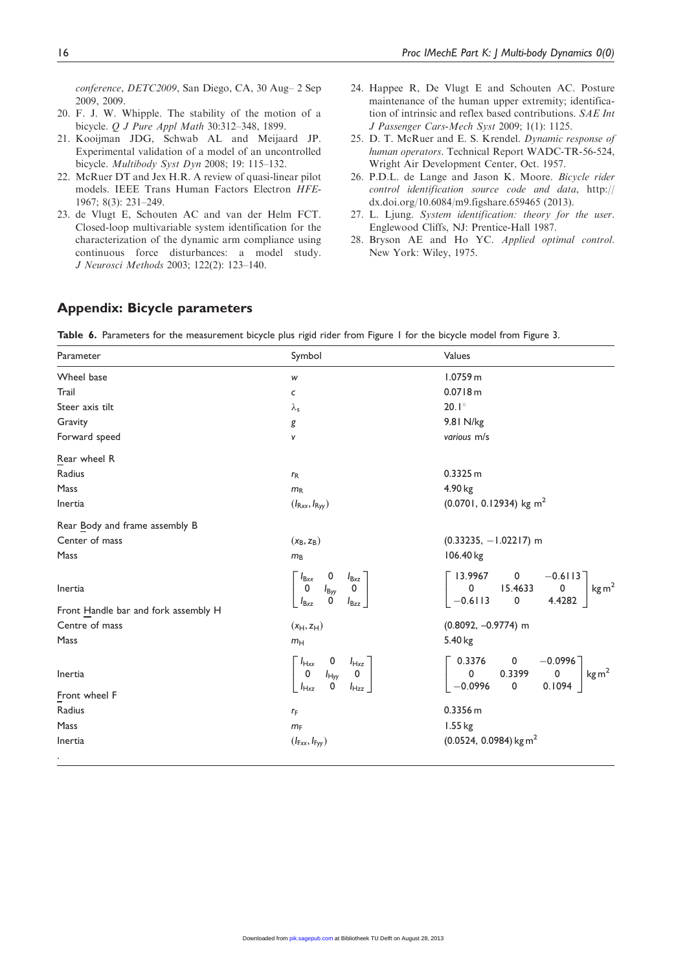conference, DETC2009, San Diego, CA, 30 Aug– 2 Sep 2009, 2009.

- 20. F. J. W. Whipple. The stability of the motion of a bicycle. Q J Pure Appl Math 30:312–348, 1899.
- 21. Kooijman JDG, Schwab AL and Meijaard JP. Experimental validation of a model of an uncontrolled bicycle. Multibody Syst Dyn 2008; 19: 115–132.
- 22. McRuer DT and Jex H.R. A review of quasi-linear pilot models. IEEE Trans Human Factors Electron HFE-1967; 8(3): 231–249.
- 23. de Vlugt E, Schouten AC and van der Helm FCT. Closed-loop multivariable system identification for the characterization of the dynamic arm compliance using continuous force disturbances: a model study. J Neurosci Methods 2003; 122(2): 123–140.
- 24. Happee R, De Vlugt E and Schouten AC. Posture maintenance of the human upper extremity; identification of intrinsic and reflex based contributions. SAE Int J Passenger Cars-Mech Syst 2009; 1(1): 1125.
- 25. D. T. McRuer and E. S. Krendel. Dynamic response of human operators. Technical Report WADC-TR-56-524, Wright Air Development Center, Oct. 1957.
- 26. P.D.L. de Lange and Jason K. Moore. Bicycle rider control identification source code and data, http:// dx.doi.org/10.6084/m9.figshare.659465 (2013).
- 27. L. Ljung. System identification: theory for the user. Englewood Cliffs, NJ: Prentice-Hall 1987.
- 28. Bryson AE and Ho YC. Applied optimal control. New York: Wiley, 1975.

# Appendix: Bicycle parameters

Table 6. Parameters for the measurement bicycle plus rigid rider from Figure 1 for the bicycle model from Figure 3.

| Parameter                            | Symbol                                                                                                                                              | Values                                                                                                                                        |
|--------------------------------------|-----------------------------------------------------------------------------------------------------------------------------------------------------|-----------------------------------------------------------------------------------------------------------------------------------------------|
| Wheel base                           | W                                                                                                                                                   | 1.0759 m                                                                                                                                      |
| Trail                                | $\mathsf{C}$                                                                                                                                        | 0.0718 m                                                                                                                                      |
| Steer axis tilt                      | $\lambda_{\sf s}$                                                                                                                                   | $20.1^\circ$                                                                                                                                  |
| Gravity                              | g                                                                                                                                                   | 9.81 N/kg                                                                                                                                     |
| Forward speed                        | V                                                                                                                                                   | various m/s                                                                                                                                   |
| Rear wheel R                         |                                                                                                                                                     |                                                                                                                                               |
| Radius                               | $r_{R}$                                                                                                                                             | 0.3325 m                                                                                                                                      |
| Mass                                 | $m_R$                                                                                                                                               | 4.90 kg                                                                                                                                       |
| Inertia                              | $(I_{\mathsf{Rxx}}, I_{\mathsf{Ryy}})$                                                                                                              | $(0.0701, 0.12934)$ kg m <sup>2</sup>                                                                                                         |
| Rear Body and frame assembly B       |                                                                                                                                                     |                                                                                                                                               |
| Center of mass                       | $(x_B, z_B)$                                                                                                                                        | $(0.33235, -1.02217)$ m                                                                                                                       |
| Mass                                 | m <sub>B</sub>                                                                                                                                      | 106.40 kg                                                                                                                                     |
| Inertia                              | 0<br>$I_{\text{Bxx}}$<br>$I_{\text{Bxz}}$<br>$\pmb{0}$<br>$\pmb{0}$<br>$I_{\text{Byy}}$<br>0<br>$I_{\mathsf{B} \mathsf{x} \mathsf{z}}$<br>$I_{Bzz}$ | $\begin{bmatrix} 13.9967 & 0 & -0.6113 \\ 0 & 15.4633 & 0 \end{bmatrix}$<br>kg m <sup>2</sup><br>$-0.6113$<br>0<br>4.4282                     |
| Front Handle bar and fork assembly H |                                                                                                                                                     |                                                                                                                                               |
| Centre of mass                       | $(x_H, z_H)$                                                                                                                                        | $(0.8092, -0.9774)$ m                                                                                                                         |
| Mass                                 | m <sub>H</sub>                                                                                                                                      | 5.40 kg                                                                                                                                       |
| Inertia                              | $\begin{bmatrix} I_{Hxx} & 0 & I_{Hxz} \\ 0 & I_{Hyy} & 0 \\ I_{Hxz} & 0 & I_{Hzz} \end{bmatrix}$                                                   | $\left[ \begin{matrix} 0.3376 & 0 & -0.0996 \ 0 & 0.3399 & 0 \end{matrix} \right]$<br>kg m <sup>2</sup><br>0.1094<br>$\mathbf 0$<br>$-0.0996$ |
| Front wheel F                        |                                                                                                                                                     |                                                                                                                                               |
| Radius                               | $r_F$                                                                                                                                               | 0.3356 m                                                                                                                                      |
| Mass                                 | $m_F$                                                                                                                                               | 1.55 kg                                                                                                                                       |
| Inertia                              | $(I_{Fx}, I_{Fyy})$                                                                                                                                 | $(0.0524, 0.0984)$ kg m <sup>2</sup>                                                                                                          |
| ٠                                    |                                                                                                                                                     |                                                                                                                                               |